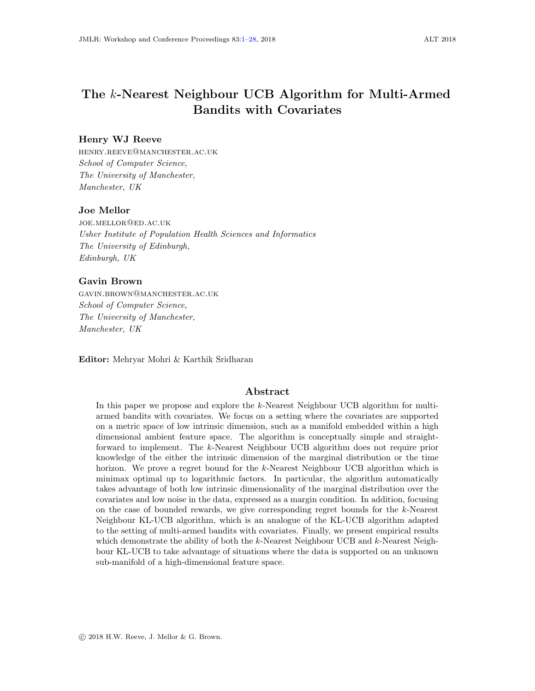# <span id="page-0-0"></span>The k-Nearest Neighbour UCB Algorithm for Multi-Armed Bandits with Covariates

### Henry WJ Reeve

henry.reeve@manchester.ac.uk School of Computer Science, The University of Manchester, Manchester, UK

### Joe Mellor

joe.mellor@ed.ac.uk Usher Institute of Population Health Sciences and Informatics The University of Edinburgh, Edinburgh, UK

#### Gavin Brown

gavin.brown@manchester.ac.uk School of Computer Science, The University of Manchester, Manchester, UK

Editor: Mehryar Mohri & Karthik Sridharan

### Abstract

In this paper we propose and explore the k-Nearest Neighbour UCB algorithm for multiarmed bandits with covariates. We focus on a setting where the covariates are supported on a metric space of low intrinsic dimension, such as a manifold embedded within a high dimensional ambient feature space. The algorithm is conceptually simple and straightforward to implement. The k-Nearest Neighbour UCB algorithm does not require prior knowledge of the either the intrinsic dimension of the marginal distribution or the time horizon. We prove a regret bound for the k-Nearest Neighbour UCB algorithm which is minimax optimal up to logarithmic factors. In particular, the algorithm automatically takes advantage of both low intrinsic dimensionality of the marginal distribution over the covariates and low noise in the data, expressed as a margin condition. In addition, focusing on the case of bounded rewards, we give corresponding regret bounds for the k-Nearest Neighbour KL-UCB algorithm, which is an analogue of the KL-UCB algorithm adapted to the setting of multi-armed bandits with covariates. Finally, we present empirical results which demonstrate the ability of both the  $k$ -Nearest Neighbour UCB and  $k$ -Nearest Neighbour KL-UCB to take advantage of situations where the data is supported on an unknown sub-manifold of a high-dimensional feature space.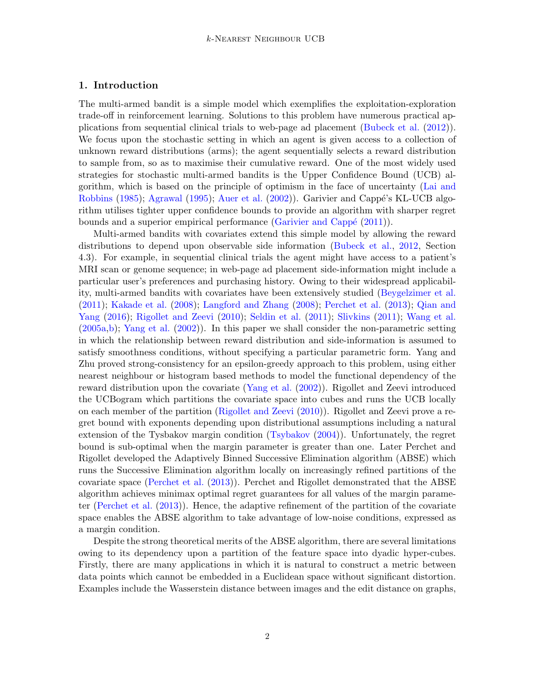# 1. Introduction

The multi-armed bandit is a simple model which exemplifies the exploitation-exploration trade-off in reinforcement learning. Solutions to this problem have numerous practical applications from sequential clinical trials to web-page ad placement [\(Bubeck et al.](#page-12-0) [\(2012\)](#page-12-0)). We focus upon the stochastic setting in which an agent is given access to a collection of unknown reward distributions (arms); the agent sequentially selects a reward distribution to sample from, so as to maximise their cumulative reward. One of the most widely used strategies for stochastic multi-armed bandits is the Upper Confidence Bound (UCB) algorithm, which is based on the principle of optimism in the face of uncertainty [\(Lai and](#page-12-1) [Robbins](#page-12-1) [\(1985\)](#page-12-1); [Agrawal](#page-12-2) [\(1995\)](#page-12-2); [Auer et al.](#page-12-3) [\(2002\)](#page-12-3)). Garivier and Cappé's KL-UCB algorithm utilises tighter upper confidence bounds to provide an algorithm with sharper regret bounds and a superior empirical performance (Garivier and Cappé  $(2011)$ ).

Multi-armed bandits with covariates extend this simple model by allowing the reward distributions to depend upon observable side information [\(Bubeck et al.,](#page-12-0) [2012,](#page-12-0) Section 4.3). For example, in sequential clinical trials the agent might have access to a patient's MRI scan or genome sequence; in web-page ad placement side-information might include a particular user's preferences and purchasing history. Owing to their widespread applicability, multi-armed bandits with covariates have been extensively studied [\(Beygelzimer et al.](#page-12-5) [\(2011\)](#page-12-5); [Kakade et al.](#page-12-6) [\(2008\)](#page-12-6); [Langford and Zhang](#page-13-0) [\(2008\)](#page-13-0); [Perchet et al.](#page-13-1) [\(2013\)](#page-13-1); [Qian and](#page-13-2) [Yang](#page-13-2) [\(2016\)](#page-13-2); [Rigollet and Zeevi](#page-13-3) [\(2010\)](#page-13-3); [Seldin et al.](#page-13-4) [\(2011\)](#page-13-4); [Slivkins](#page-13-5) [\(2011\)](#page-13-5); [Wang et al.](#page-13-6) [\(2005a,](#page-13-6)[b\)](#page-13-7); [Yang et al.](#page-13-8) [\(2002\)](#page-13-8)). In this paper we shall consider the non-parametric setting in which the relationship between reward distribution and side-information is assumed to satisfy smoothness conditions, without specifying a particular parametric form. Yang and Zhu proved strong-consistency for an epsilon-greedy approach to this problem, using either nearest neighbour or histogram based methods to model the functional dependency of the reward distribution upon the covariate [\(Yang et al.](#page-13-8) [\(2002\)](#page-13-8)). Rigollet and Zeevi introduced the UCBogram which partitions the covariate space into cubes and runs the UCB locally on each member of the partition [\(Rigollet and Zeevi](#page-13-3) [\(2010\)](#page-13-3)). Rigollet and Zeevi prove a regret bound with exponents depending upon distributional assumptions including a natural extension of the Tysbakov margin condition [\(Tsybakov](#page-13-9) [\(2004\)](#page-13-9)). Unfortunately, the regret bound is sub-optimal when the margin parameter is greater than one. Later Perchet and Rigollet developed the Adaptively Binned Successive Elimination algorithm (ABSE) which runs the Successive Elimination algorithm locally on increasingly refined partitions of the covariate space [\(Perchet et al.](#page-13-1) [\(2013\)](#page-13-1)). Perchet and Rigollet demonstrated that the ABSE algorithm achieves minimax optimal regret guarantees for all values of the margin parameter [\(Perchet et al.](#page-13-1) [\(2013\)](#page-13-1)). Hence, the adaptive refinement of the partition of the covariate space enables the ABSE algorithm to take advantage of low-noise conditions, expressed as a margin condition.

Despite the strong theoretical merits of the ABSE algorithm, there are several limitations owing to its dependency upon a partition of the feature space into dyadic hyper-cubes. Firstly, there are many applications in which it is natural to construct a metric between data points which cannot be embedded in a Euclidean space without significant distortion. Examples include the Wasserstein distance between images and the edit distance on graphs,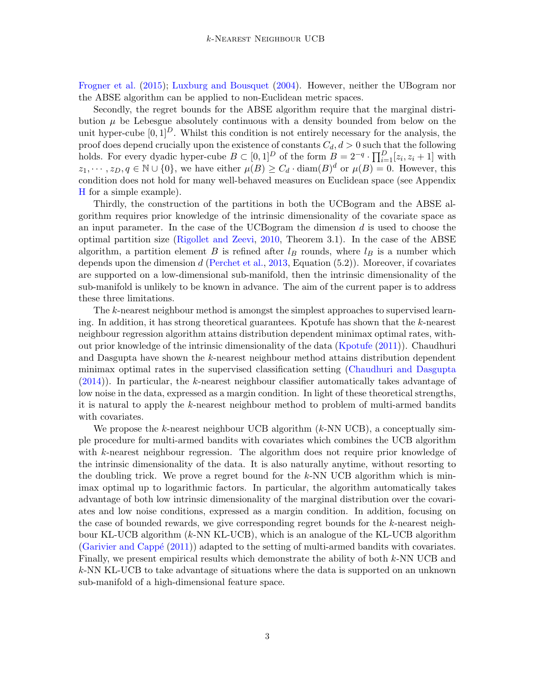[Frogner et al.](#page-12-7) [\(2015\)](#page-12-7); [Luxburg and Bousquet](#page-13-10) [\(2004\)](#page-13-10). However, neither the UBogram nor the ABSE algorithm can be applied to non-Euclidean metric spaces.

Secondly, the regret bounds for the ABSE algorithm require that the marginal distribution  $\mu$  be Lebesgue absolutely continuous with a density bounded from below on the unit hyper-cube  $[0, 1]^D$ . Whilst this condition is not entirely necessary for the analysis, the proof does depend crucially upon the existence of constants  $C_d$ ,  $d > 0$  such that the following holds. For every dyadic hyper-cube  $B \subset [0,1]^D$  of the form  $B = 2^{-q} \cdot \prod_{i=1}^D [z_i, z_i + 1]$  with  $z_1, \dots, z_D, q \in \mathbb{N} \cup \{0\}$ , we have either  $\mu(B) \geq C_d \cdot \text{diam}(B)^d$  or  $\mu(B) = 0$ . However, this condition does not hold for many well-behaved measures on Euclidean space (see Appendix [H](#page-24-0) for a simple example).

Thirdly, the construction of the partitions in both the UCBogram and the ABSE algorithm requires prior knowledge of the intrinsic dimensionality of the covariate space as an input parameter. In the case of the UCB og ram the dimension  $d$  is used to choose the optimal partition size [\(Rigollet and Zeevi,](#page-13-3) [2010,](#page-13-3) Theorem 3.1). In the case of the ABSE algorithm, a partition element B is refined after  $l_B$  rounds, where  $l_B$  is a number which depends upon the dimension  $d$  [\(Perchet et al.,](#page-13-1) [2013,](#page-13-1) Equation  $(5.2)$ ). Moreover, if covariates are supported on a low-dimensional sub-manifold, then the intrinsic dimensionality of the sub-manifold is unlikely to be known in advance. The aim of the current paper is to address these three limitations.

The k-nearest neighbour method is amongst the simplest approaches to supervised learning. In addition, it has strong theoretical guarantees. Kpotufe has shown that the k-nearest neighbour regression algorithm attains distribution dependent minimax optimal rates, without prior knowledge of the intrinsic dimensionality of the data [\(Kpotufe](#page-12-8) [\(2011\)](#page-12-8)). Chaudhuri and Dasgupta have shown the k-nearest neighbour method attains distribution dependent minimax optimal rates in the supervised classification setting [\(Chaudhuri and Dasgupta](#page-12-9) [\(2014\)](#page-12-9)). In particular, the k-nearest neighbour classifier automatically takes advantage of low noise in the data, expressed as a margin condition. In light of these theoretical strengths, it is natural to apply the k-nearest neighbour method to problem of multi-armed bandits with covariates.

We propose the k-nearest neighbour UCB algorithm  $(k-NN \text{ UCB})$ , a conceptually simple procedure for multi-armed bandits with covariates which combines the UCB algorithm with k-nearest neighbour regression. The algorithm does not require prior knowledge of the intrinsic dimensionality of the data. It is also naturally anytime, without resorting to the doubling trick. We prove a regret bound for the  $k$ -NN UCB algorithm which is minimax optimal up to logarithmic factors. In particular, the algorithm automatically takes advantage of both low intrinsic dimensionality of the marginal distribution over the covariates and low noise conditions, expressed as a margin condition. In addition, focusing on the case of bounded rewards, we give corresponding regret bounds for the k-nearest neighbour KL-UCB algorithm  $(k-NN KL-UCB)$ , which is an analogue of the KL-UCB algorithm (Garivier and Cappé  $(2011)$ ) adapted to the setting of multi-armed bandits with covariates. Finally, we present empirical results which demonstrate the ability of both k-NN UCB and k-NN KL-UCB to take advantage of situations where the data is supported on an unknown sub-manifold of a high-dimensional feature space.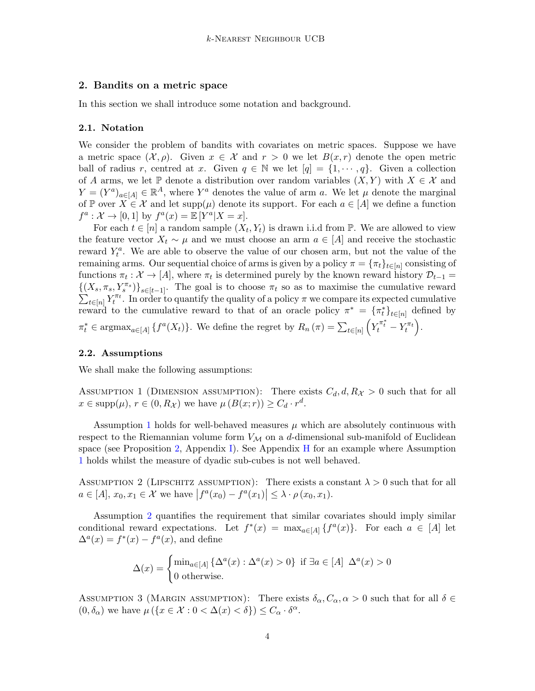### 2. Bandits on a metric space

In this section we shall introduce some notation and background.

#### 2.1. Notation

We consider the problem of bandits with covariates on metric spaces. Suppose we have a metric space  $(\mathcal{X}, \rho)$ . Given  $x \in \mathcal{X}$  and  $r > 0$  we let  $B(x, r)$  denote the open metric ball of radius r, centred at x. Given  $q \in \mathbb{N}$  we let  $[q] = \{1, \dots, q\}$ . Given a collection of A arms, we let  $\mathbb P$  denote a distribution over random variables  $(X, Y)$  with  $X \in \mathcal X$  and  $Y = (Y^a)_{a \in [A]} \in \mathbb{R}^A$ , where  $Y^a$  denotes the value of arm a. We let  $\mu$  denote the marginal of P over  $X \in \mathcal{X}$  and let supp $(\mu)$  denote its support. For each  $a \in [A]$  we define a function  $f^a: \mathcal{X} \to [0,1]$  by  $f^a(x) = \mathbb{E}[Y^a|X=x].$ 

For each  $t \in [n]$  a random sample  $(X_t, Y_t)$  is drawn i.i.d from  $\mathbb{P}$ . We are allowed to view the feature vector  $X_t \sim \mu$  and we must choose an arm  $a \in [A]$  and receive the stochastic reward  $Y_t^a$ . We are able to observe the value of our chosen arm, but not the value of the remaining arms. Our sequential choice of arms is given by a policy  $\pi = \{\pi_t\}_{t \in [n]}$  consisting of functions  $\pi_t: \mathcal{X} \to [A]$ , where  $\pi_t$  is determined purely by the known reward history  $\mathcal{D}_{t-1} =$  $\{(X_s, \pi_s, Y_s^{\pi_s})\}_{s\in [t-1]}.$  The goal is to choose  $\pi_t$  so as to maximise the cumulative reward  $\sum_{t\in[n]} Y_t^{\pi_t}$ . In order to quantify the quality of a policy  $\pi$  we compare its expected cumulative reward to the cumulative reward to that of an oracle policy  $\pi^* = {\{\pi^*_t\}}_{t \in [n]}$  defined by  $\pi_t^* \in \operatorname{argmax}_{a \in [A]} \{f^a(X_t)\}.$  We define the regret by  $R_n(\pi) = \sum_{t \in [n]} \left( Y_t^{\pi_t^*} - Y_t^{\pi_t} \right)$ .

#### 2.2. Assumptions

<span id="page-3-0"></span>We shall make the following assumptions:

ASSUMPTION 1 (DIMENSION ASSUMPTION): There exists  $C_d, d, R_\chi > 0$  such that for all  $x \in \text{supp}(\mu)$ ,  $r \in (0, R_{\mathcal{X}})$  we have  $\mu(B(x; r)) \geq C_d \cdot r^d$ .

Assumption [1](#page-3-0) holds for well-behaved measures  $\mu$  which are absolutely continuous with respect to the Riemannian volume form  $V_{\mathcal{M}}$  on a d-dimensional sub-manifold of Euclidean space (see Proposition [2,](#page-25-0) Appendix [I\)](#page-24-1). See Appendix [H](#page-24-0) for an example where Assumption [1](#page-3-0) holds whilst the measure of dyadic sub-cubes is not well behaved.

<span id="page-3-1"></span>ASSUMPTION 2 (LIPSCHITZ ASSUMPTION): There exists a constant  $\lambda > 0$  such that for all  $a \in [A], x_0, x_1 \in \mathcal{X}$  we have  $|f^a(x_0) - f^a(x_1)| \leq \lambda \cdot \rho(x_0, x_1)$ .

Assumption [2](#page-3-1) quantifies the requirement that similar covariates should imply similar conditional reward expectations. Let  $f^*(x) = \max_{a \in [A]} \{f^a(x)\}\.$  For each  $a \in [A]$  let  $\Delta^{a}(x) = f^{*}(x) - f^{a}(x)$ , and define

$$
\Delta(x) = \begin{cases} \min_{a \in [A]} \{ \Delta^a(x) : \Delta^a(x) > 0 \} & \text{if } \exists a \in [A] \ \Delta^a(x) > 0 \\ 0 & \text{otherwise.} \end{cases}
$$

<span id="page-3-2"></span>ASSUMPTION 3 (MARGIN ASSUMPTION): There exists  $\delta_{\alpha}, C_{\alpha}, \alpha > 0$  such that for all  $\delta \in$  $(0, \delta_{\alpha})$  we have  $\mu (\lbrace x \in \mathcal{X} : 0 < \Delta(x) < \delta \rbrace) \leq C_{\alpha} \cdot \delta^{\alpha}$ .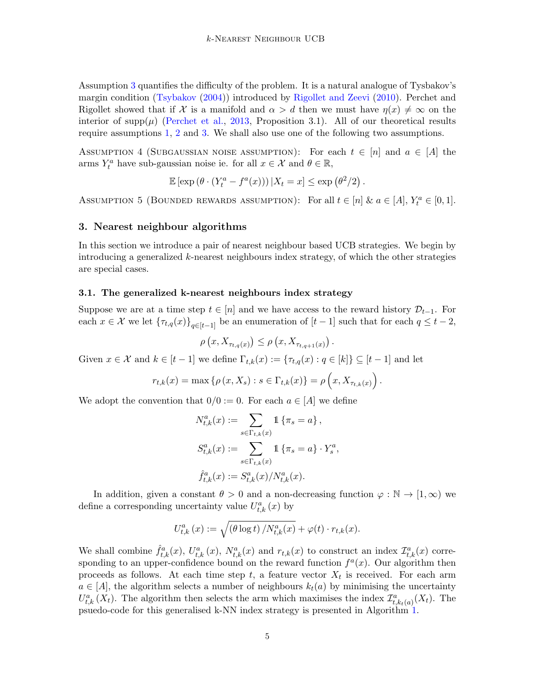Assumption [3](#page-3-2) quantifies the difficulty of the problem. It is a natural analogue of Tysbakov's margin condition [\(Tsybakov](#page-13-9) [\(2004\)](#page-13-9)) introduced by [Rigollet and Zeevi](#page-13-3) [\(2010\)](#page-13-3). Perchet and Rigollet showed that if X is a manifold and  $\alpha > d$  then we must have  $\eta(x) \neq \infty$  on the interior of  $\text{supp}(\mu)$  [\(Perchet et al.,](#page-13-1) [2013,](#page-13-1) Proposition 3.1). All of our theoretical results require assumptions [1,](#page-3-0) [2](#page-3-1) and [3.](#page-3-2) We shall also use one of the following two assumptions.

<span id="page-4-0"></span>ASSUMPTION 4 (SUBGAUSSIAN NOISE ASSUMPTION): For each  $t \in [n]$  and  $a \in [A]$  the arms  $Y_t^a$  have sub-gaussian noise ie. for all  $x \in \mathcal{X}$  and  $\theta \in \mathbb{R}$ ,

$$
\mathbb{E}\left[\exp\left(\theta\cdot\left(Y_t^a - f^a(x)\right)\right)|X_t = x\right] \le \exp\left(\theta^2/2\right).
$$

<span id="page-4-1"></span>ASSUMPTION 5 (BOUNDED REWARDS ASSUMPTION): For all  $t \in [n]$  &  $a \in [A]$ ,  $Y_t^a \in [0,1]$ .

# 3. Nearest neighbour algorithms

In this section we introduce a pair of nearest neighbour based UCB strategies. We begin by introducing a generalized k-nearest neighbours index strategy, of which the other strategies are special cases.

### 3.1. The generalized k-nearest neighbours index strategy

Suppose we are at a time step  $t \in [n]$  and we have access to the reward history  $\mathcal{D}_{t-1}$ . For each  $x \in \mathcal{X}$  we let  $\{\tau_{t,q}(x)\}_{q \in [t-1]}$  be an enumeration of  $[t-1]$  such that for each  $q \leq t-2$ ,

$$
\rho\left(x, X_{\tau_{t,q}(x)}\right) \leq \rho\left(x, X_{\tau_{t,q+1}(x)}\right).
$$

Given  $x \in \mathcal{X}$  and  $k \in [t-1]$  we define  $\Gamma_{t,k}(x) := \{\tau_{t,q}(x) : q \in [k]\} \subseteq [t-1]$  and let

$$
r_{t,k}(x) = \max \{ \rho(x, X_s) : s \in \Gamma_{t,k}(x) \} = \rho(x, X_{\tau_{t,k}(x)})
$$
.

We adopt the convention that  $0/0 := 0$ . For each  $a \in [A]$  we define

$$
N_{t,k}^{a}(x) := \sum_{s \in \Gamma_{t,k}(x)} 1 \{\pi_s = a\},
$$
  

$$
S_{t,k}^{a}(x) := \sum_{s \in \Gamma_{t,k}(x)} 1 \{\pi_s = a\} \cdot Y_s^a,
$$
  

$$
\hat{f}_{t,k}^{a}(x) := S_{t,k}^{a}(x) / N_{t,k}^{a}(x).
$$

In addition, given a constant  $\theta > 0$  and a non-decreasing function  $\varphi : \mathbb{N} \to [1, \infty)$  we define a corresponding uncertainty value  $U_{t,k}^a(x)$  by

$$
U_{t,k}^{a}(x) := \sqrt{\left(\theta \log t\right)/N_{t,k}^{a}(x)} + \varphi(t) \cdot r_{t,k}(x).
$$

We shall combine  $\hat{f}^a_{t,k}(x)$ ,  $U^a_{t,k}(x)$ ,  $N^a_{t,k}(x)$  and  $r_{t,k}(x)$  to construct an index  $\mathcal{I}^a_{t,k}(x)$  corresponding to an upper-confidence bound on the reward function  $f^a(x)$ . Our algorithm then proceeds as follows. At each time step t, a feature vector  $X_t$  is received. For each arm  $a \in [A]$ , the algorithm selects a number of neighbours  $k_t(a)$  by minimising the uncertainty  $U_{t,k}^{a}(X_t)$ . The algorithm then selects the arm which maximises the index  $\mathcal{I}_{t,k_t(a)}^{a}(X_t)$ . The psuedo-code for this generalised k-NN index strategy is presented in Algorithm [1.](#page-5-0)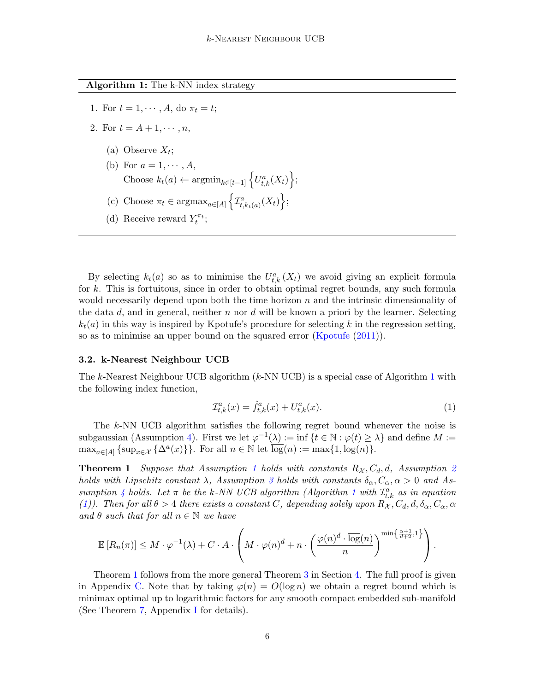<span id="page-5-0"></span>Algorithm 1: The k-NN index strategy

- 1. For  $t = 1, \dots, A$ , do  $\pi_t = t$ ;
- 2. For  $t = A + 1, \dots, n$ ,
	- (a) Observe  $X_t$ ;
	- (b) For  $a = 1, \cdots, A$ , Choose  $k_t(a) \leftarrow \operatorname{argmin}_{k \in [t-1]} \left\{ U_{t,k}^a(X_t) \right\};$
	- (c) Choose  $\pi_t \in \text{argmax}_{a \in [A]} \left\{ \mathcal{I}_{t, k_t(a)}^a(X_t) \right\};$
	- (d) Receive reward  $Y_t^{\pi_t}$ ;

By selecting  $k_t(a)$  so as to minimise the  $U_{t,k}^a(X_t)$  we avoid giving an explicit formula for k. This is fortuitous, since in order to obtain optimal regret bounds, any such formula would necessarily depend upon both the time horizon  $n$  and the intrinsic dimensionality of the data  $d$ , and in general, neither n nor  $d$  will be known a priori by the learner. Selecting  $k_t(a)$  in this way is inspired by Kpotufe's procedure for selecting k in the regression setting, so as to minimise an upper bound on the squared error [\(Kpotufe](#page-12-8) [\(2011\)](#page-12-8)).

### 3.2. k-Nearest Neighbour UCB

The k-Nearest Neighbour UCB algorithm  $(k-NN \text{ UCB})$  is a special case of Algorithm [1](#page-5-0) with the following index function,

<span id="page-5-1"></span>
$$
\mathcal{I}_{t,k}^a(x) = \hat{f}_{t,k}^a(x) + U_{t,k}^a(x). \tag{1}
$$

The k-NN UCB algorithm satisfies the following regret bound whenever the noise is subgaussian (Assumption [4\)](#page-4-0). First we let  $\varphi^{-1}(\lambda) := \inf \{ t \in \mathbb{N} : \varphi(t) \geq \lambda \}$  and define  $M :=$  $\max_{a \in [A]} {\text{sup}_{x \in \mathcal{X}} {\{\Delta^a(x)\}\}}.$  For all  $n \in \mathbb{N}$  let  $\overline{\log}(n) := \max\{1, \log(n)\}.$ 

<span id="page-5-2"></span>**Theorem [1](#page-3-0)** Suppose that Assumption 1 holds with constants  $R_{\mathcal{X}}, C_d, d$ , Assumption [2](#page-3-1) holds with Lipschitz constant  $\lambda$ , Assumption [3](#page-3-2) holds with constants  $\delta_{\alpha}, C_{\alpha}, \alpha > 0$  and As-sumption [4](#page-4-0) holds. Let  $\pi$  be the k-NN UCB algorithm (Algorithm [1](#page-5-0) with  $\mathcal{I}^a_{t,k}$  as in equation [\(1\)](#page-5-1)). Then for all  $\theta > 4$  there exists a constant C, depending solely upon  $R_{\mathcal{X}}, C_d, d, \delta_{\alpha}, C_{\alpha}, \alpha$ and  $\theta$  such that for all  $n \in \mathbb{N}$  we have

$$
\mathbb{E}\left[R_n(\pi)\right] \leq M \cdot \varphi^{-1}(\lambda) + C \cdot A \cdot \left(M \cdot \varphi(n)^d + n \cdot \left(\frac{\varphi(n)^d \cdot \overline{\log}(n)}{n}\right)^{\min\left\{\frac{\alpha+1}{d+2},1\right\}}\right).
$$

Theorem [1](#page-5-2) follows from the more general Theorem [3](#page-6-0) in Section [4.](#page-6-1) The full proof is given in Appendix [C.](#page-15-0) Note that by taking  $\varphi(n) = O(\log n)$  we obtain a regret bound which is minimax optimal up to logarithmic factors for any smooth compact embedded sub-manifold (See Theorem [7,](#page-25-1) Appendix [I](#page-24-1) for details).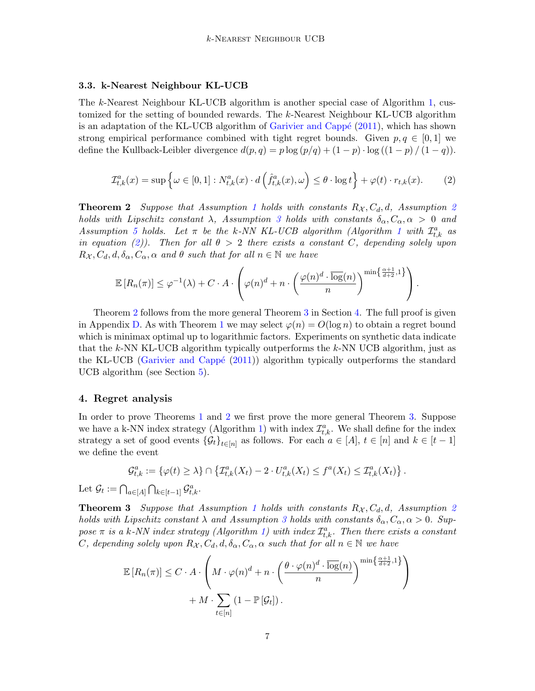### 3.3. k-Nearest Neighbour KL-UCB

The k-Nearest Neighbour KL-UCB algorithm is another special case of Algorithm [1,](#page-5-0) customized for the setting of bounded rewards. The k-Nearest Neighbour KL-UCB algorithm is an adaptation of the KL-UCB algorithm of Garivier and Cappé  $(2011)$ , which has shown strong empirical performance combined with tight regret bounds. Given  $p, q \in [0, 1]$  we define the Kullback-Leibler divergence  $d(p, q) = p \log (p/q) + (1 - p) \cdot \log ((1 - p) / (1 - q)).$ 

<span id="page-6-2"></span>
$$
\mathcal{I}_{t,k}^{a}(x) = \sup \left\{ \omega \in [0,1] : N_{t,k}^{a}(x) \cdot d\left(\hat{f}_{t,k}^{a}(x), \omega\right) \leq \theta \cdot \log t \right\} + \varphi(t) \cdot r_{t,k}(x). \tag{2}
$$

<span id="page-6-3"></span>**Theorem [2](#page-3-1)** Suppose that Assumption [1](#page-3-0) holds with constants  $R_{\mathcal{X}}, C_d, d$ , Assumption 2 holds with Lipschitz constant  $\lambda$ , Assumption [3](#page-3-2) holds with constants  $\delta_{\alpha}, C_{\alpha}, \alpha > 0$  and Assumption [5](#page-4-1) holds. Let  $\pi$  be the k-NN KL-UCB algorithm (Algorithm [1](#page-5-0) with  $\mathcal{I}_{t,k}^a$  as in equation [\(2\)](#page-6-2)). Then for all  $\theta > 2$  there exists a constant C, depending solely upon  $R_{\mathcal{X}}, C_d, d, \delta_{\alpha}, C_{\alpha}, \alpha$  and  $\theta$  such that for all  $n \in \mathbb{N}$  we have

$$
\mathbb{E}\left[R_n(\pi)\right] \leq \varphi^{-1}(\lambda) + C \cdot A \cdot \left(\varphi(n)^d + n \cdot \left(\frac{\varphi(n)^d \cdot \overline{\log}(n)}{n}\right)^{\min\left\{\frac{\alpha+1}{d+2},1\right\}}\right).
$$

Theorem [2](#page-6-3) follows from the more general Theorem [3](#page-6-0) in Section [4.](#page-6-1) The full proof is given in Appendix [D.](#page-17-0) As with Theorem [1](#page-5-2) we may select  $\varphi(n) = O(\log n)$  to obtain a regret bound which is minimax optimal up to logarithmic factors. Experiments on synthetic data indicate that the k-NN KL-UCB algorithm typically outperforms the  $k$ -NN UCB algorithm, just as the KL-UCB (Garivier and Cappé  $(2011)$ ) algorithm typically outperforms the standard UCB algorithm (see Section [5\)](#page-11-0).

### <span id="page-6-1"></span>4. Regret analysis

In order to prove Theorems [1](#page-5-2) and [2](#page-6-3) we first prove the more general Theorem [3.](#page-6-0) Suppose we have a k-NN index strategy (Algorithm [1\)](#page-5-0) with index  $\mathcal{I}^a_{t,k}$ . We shall define for the index strategy a set of good events  $\{\mathcal{G}_t\}_{t\in[n]}$  as follows. For each  $a \in [A], t \in [n]$  and  $k \in [t-1]$ we define the event

$$
\mathcal{G}^a_{t,k}:=\left\{\varphi(t)\geq \lambda\right\}\cap \left\{\mathcal{I}^a_{t,k}(X_t)-2\cdot U^a_{t,k}(X_t)\leq f^a(X_t)\leq \mathcal{I}^a_{t,k}(X_t)\right\}.
$$

Let  $\mathcal{G}_t := \bigcap_{a \in [A]} \bigcap_{k \in [t-1]} \mathcal{G}_{t,k}^a$ .

<span id="page-6-0"></span>**Theorem 3** Suppose that Assumption [1](#page-3-0) holds with constants  $R_{\mathcal{X}}$ ,  $C_d$ ,  $d$ , Assumption [2](#page-3-1) holds with Lipschitz constant  $\lambda$  and Assumption [3](#page-3-2) holds with constants  $\delta_{\alpha}, C_{\alpha}, \alpha > 0$ . Suppose  $\pi$  is a k-NN index strategy (Algorithm [1\)](#page-5-0) with index  $\mathcal{I}_{t,k}^a$ . Then there exists a constant C, depending solely upon  $R_{\mathcal{X}}, C_d, d, \delta_{\alpha}, C_{\alpha}, \alpha$  such that for all  $n \in \mathbb{N}$  we have

$$
\mathbb{E}\left[R_n(\pi)\right] \leq C \cdot A \cdot \left(M \cdot \varphi(n)^d + n \cdot \left(\frac{\theta \cdot \varphi(n)^d \cdot \overline{\log}(n)}{n}\right)^{\min\left\{\frac{\alpha+1}{d+2}, 1\right\}} + M \cdot \sum_{t \in [n]} (1 - \mathbb{P}\left[\mathcal{G}_t\right]).
$$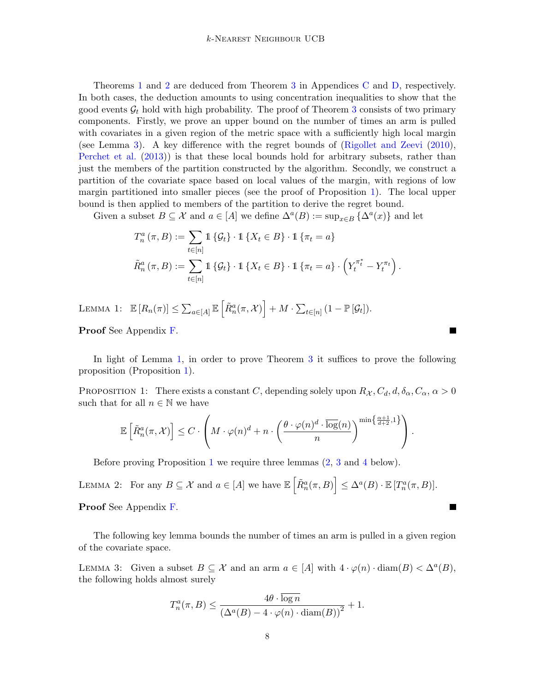Theorems [1](#page-5-2) and [2](#page-6-3) are deduced from Theorem [3](#page-6-0) in Appendices [C](#page-15-0) and [D,](#page-17-0) respectively. In both cases, the deduction amounts to using concentration inequalities to show that the good events  $\mathcal{G}_t$  hold with high probability. The proof of Theorem [3](#page-6-0) consists of two primary components. Firstly, we prove an upper bound on the number of times an arm is pulled with covariates in a given region of the metric space with a sufficiently high local margin (see Lemma [3\)](#page-7-0). A key difference with the regret bounds of [\(Rigollet and Zeevi](#page-13-3) [\(2010\)](#page-13-3), [Perchet et al.](#page-13-1) [\(2013\)](#page-13-1)) is that these local bounds hold for arbitrary subsets, rather than just the members of the partition constructed by the algorithm. Secondly, we construct a partition of the covariate space based on local values of the margin, with regions of low margin partitioned into smaller pieces (see the proof of Proposition [1\)](#page-7-1). The local upper bound is then applied to members of the partition to derive the regret bound.

Given a subset  $B \subseteq \mathcal{X}$  and  $a \in [A]$  we define  $\Delta^a(B) := \sup_{x \in B} {\{\Delta^a(x)\}}$  and let

$$
T_n^a(\pi, B) := \sum_{t \in [n]} 1 \{ \mathcal{G}_t \} \cdot 1 \{ X_t \in B \} \cdot 1 \{ \pi_t = a \}
$$
  

$$
\tilde{R}_n^a(\pi, B) := \sum_{t \in [n]} 1 \{ \mathcal{G}_t \} \cdot 1 \{ X_t \in B \} \cdot 1 \{ \pi_t = a \} \cdot \left( Y_t^{\pi_t^*} - Y_t^{\pi_t} \right).
$$

<span id="page-7-2"></span>LEMMA 1:  $\mathbb{E}\left[R_n(\pi)\right] \leq \sum_{a \in [A]} \mathbb{E}\left[\tilde{R}_n^a(\pi, \mathcal{X})\right] + M \cdot \sum_{t \in [n]} (1 - \mathbb{P}[\mathcal{G}_t]).$ 

Proof See Appendix [F.](#page-22-0)

In light of Lemma [1,](#page-7-2) in order to prove Theorem [3](#page-6-0) it suffices to prove the following proposition (Proposition [1\)](#page-7-1).

 $\blacksquare$ 

П

<span id="page-7-1"></span>PROPOSITION 1: There exists a constant C, depending solely upon  $R_{\mathcal{X}}, C_d, d, \delta_{\alpha}, C_{\alpha}, \alpha > 0$ such that for all  $n \in \mathbb{N}$  we have

$$
\mathbb{E}\left[\tilde{R}_n^a(\pi,\mathcal{X})\right] \leq C \cdot \left( M \cdot \varphi(n)^d + n \cdot \left( \frac{\theta \cdot \varphi(n)^d \cdot \overline{\log}(n)}{n} \right)^{\min\left\{\frac{\alpha+1}{d+2},1\right\}} \right).
$$

Before proving Proposition [1](#page-7-2) we require three lemmas [\(2,](#page-7-3) [3](#page-7-0) and [4](#page-8-0) below).

<span id="page-7-3"></span>LEMMA 2: For any  $B \subseteq \mathcal{X}$  and  $a \in [A]$  we have  $\mathbb{E} \left[ \tilde{R}_n^a(\pi, B) \right] \leq \Delta^a(B) \cdot \mathbb{E} \left[ T_n^a(\pi, B) \right]$ . Proof See Appendix [F.](#page-22-0)

The following key lemma bounds the number of times an arm is pulled in a given region of the covariate space.

<span id="page-7-0"></span>LEMMA 3: Given a subset  $B \subseteq \mathcal{X}$  and an arm  $a \in [A]$  with  $4 \cdot \varphi(n) \cdot \text{diam}(B) < \Delta^a(B)$ , the following holds almost surely

$$
T_n^a(\pi, B) \le \frac{4\theta \cdot \overline{\log n}}{\left(\Delta^a(B) - 4 \cdot \varphi(n) \cdot \operatorname{diam}(B)\right)^2} + 1.
$$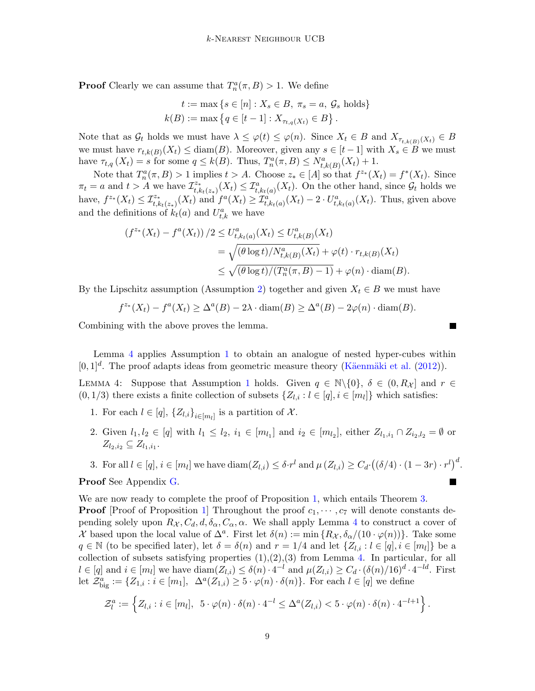**Proof** Clearly we can assume that  $T_n^a(\pi, B) > 1$ . We define

$$
t := \max \{ s \in [n] : X_s \in B, \pi_s = a, \mathcal{G}_s \text{ holds} \}
$$
  
 $k(B) := \max \{ q \in [t-1] : X_{\tau_{t,q}(X_t)} \in B \}.$ 

Note that as  $\mathcal{G}_t$  holds we must have  $\lambda \leq \varphi(t) \leq \varphi(n)$ . Since  $X_t \in B$  and  $X_{\tau_{t,k(B)}(X_t)} \in B$ we must have  $r_{t,k(B)}(X_t) \leq \text{diam}(B)$ . Moreover, given any  $s \in [t-1]$  with  $X_s \in B$  we must have  $\tau_{t,q}(X_t) = s$  for some  $q \leq k(B)$ . Thus,  $T_n^a(\pi, B) \leq N_{t,k(B)}^a(X_t) + 1$ .

Note that  $T_n^a(\pi, B) > 1$  implies  $t > A$ . Choose  $z_* \in [A]$  so that  $f^{z_*}(X_t) = f^*(X_t)$ . Since  $\pi_t = a$  and  $t > A$  we have  $\mathcal{I}_{t,k}^{z*}$  $\mathcal{I}_{t,k_t(z_*)}^{z_*}(X_t) \leq \mathcal{I}_{t,k_t(a)}^a(X_t)$ . On the other hand, since  $\mathcal{G}_t$  holds we have,  $f^{z_*}(X_t) \leq \mathcal{I}_{t, k_t(z_*)}^{z_*}(X_t)$  and  $f^a(X_t) \geq \mathcal{I}_{t, k_t(a)}^{a}(X_t) - 2 \cdot U_{t, k_t(a)}^{a}(X_t)$ . Thus, given above and the definitions of  $k_t(a)$  and  $U_{t,k}^a$  we have

$$
(f^{z_*}(X_t) - f^a(X_t)) / 2 \le U_{t, k_t(a)}^a(X_t) \le U_{t, k(B)}^a(X_t)
$$
  
=  $\sqrt{(\theta \log t) / N_{t, k(B)}^a(X_t)} + \varphi(t) \cdot r_{t, k(B)}(X_t)$   
 $\le \sqrt{(\theta \log t) / (T_n^a(\pi, B) - 1)} + \varphi(n) \cdot \text{diam}(B).$ 

By the Lipschitz assumption (Assumption [2\)](#page-3-1) together and given  $X_t \in B$  we must have

$$
f^{z_*}(X_t) - f^a(X_t) \ge \Delta^a(B) - 2\lambda \cdot \operatorname{diam}(B) \ge \Delta^a(B) - 2\varphi(n) \cdot \operatorname{diam}(B).
$$

<span id="page-8-0"></span> $\blacksquare$ 

 $\blacksquare$ 

Combining with the above proves the lemma.

Lemma [4](#page-8-0) applies Assumption [1](#page-3-0) to obtain an analogue of nested hyper-cubes within  $[0,1]^d$ . The proof adapts ideas from geometric measure theory (Käenmäki et al. [\(2012\)](#page-12-10)).

LEMMA 4: Suppose that Assumption [1](#page-3-0) holds. Given  $q \in \mathbb{N}\setminus\{0\}$ ,  $\delta \in (0, R_{\mathcal{X}}]$  and  $r \in$  $(0, 1/3)$  there exists a finite collection of subsets  $\{Z_{l,i} : l \in [q], i \in [m_l]\}$  which satisfies:

- 1. For each  $l \in [q]$ ,  $\{Z_{l,i}\}_{i \in [m_l]}$  is a partition of X.
- 2. Given  $l_1, l_2 \in [q]$  with  $l_1 \leq l_2, i_1 \in [m_{l_1}]$  and  $i_2 \in [m_{l_2}]$ , either  $Z_{l_1,i_1} \cap Z_{i_2,l_2} = \emptyset$  or  $Z_{l_2,i_2} \subseteq Z_{l_1,i_1}.$
- 3. For all  $l \in [q], i \in [m_l]$  we have  $\text{diam}(Z_{l,i}) \leq \delta \cdot r^l$  and  $\mu(Z_{l,i}) \geq C_d \cdot ((\delta/4) \cdot (1-3r) \cdot r^l)^d$ .

Proof See Appendix [G.](#page-23-0)

We are now ready to complete the proof of Proposition [1,](#page-7-1) which entails Theorem [3.](#page-6-0)

**Proof** [Proof of Proposition [1\]](#page-7-1) Throughout the proof  $c_1, \dots, c_7$  will denote constants depending solely upon  $R_{\mathcal{X}}, C_d, d, \delta_{\alpha}, C_{\alpha}, \alpha$ . We shall apply Lemma [4](#page-8-0) to construct a cover of X based upon the local value of  $\Delta^a$ . First let  $\delta(n) := \min \{ R_{\mathcal{X}}, \delta_{\alpha}/(10 \cdot \varphi(n)) \}$ . Take some  $q \in \mathbb{N}$  (to be specified later), let  $\delta = \delta(n)$  and  $r = 1/4$  and let  $\{Z_{l,i} : l \in [q], i \in [m_l]\}$  be a collection of subsets satisfying properties  $(1),(2),(3)$  from Lemma [4.](#page-8-0) In particular, for all  $l \in [q]$  and  $i \in [m_l]$  we have  $\text{diam}(Z_{l,i}) \leq \delta(n) \cdot 4^{-l}$  and  $\mu(Z_{l,i}) \geq C_d \cdot (\delta(n)/16)^d \cdot 4^{-ld}$ . First let  $\mathcal{Z}_{\text{big}}^a := \{Z_{1,i} : i \in [m_1], \Delta^a(Z_{1,i}) \geq 5 \cdot \varphi(n) \cdot \delta(n)\}\.$  For each  $l \in [q]$  we define

$$
\mathcal{Z}_l^a := \left\{ Z_{l,i} : i \in [m_l], \ 5 \cdot \varphi(n) \cdot \delta(n) \cdot 4^{-l} \leq \Delta^a(Z_{l,i}) < 5 \cdot \varphi(n) \cdot \delta(n) \cdot 4^{-l+1} \right\}.
$$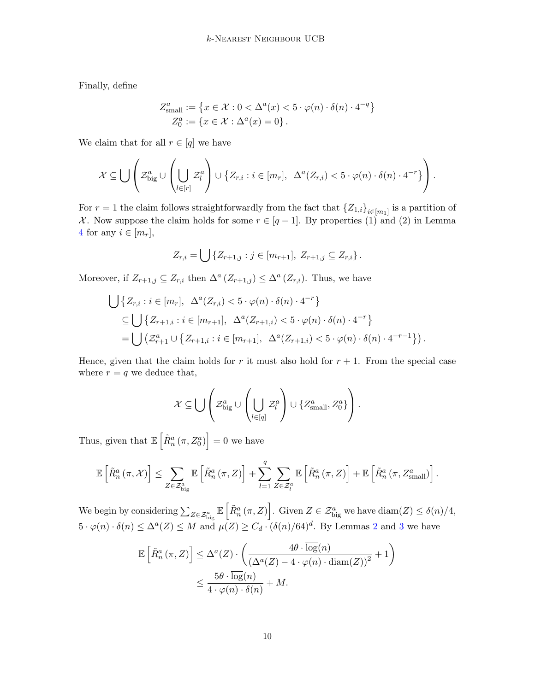Finally, define

$$
Z_{\text{small}}^{a} := \{ x \in \mathcal{X} : 0 < \Delta^{a}(x) < 5 \cdot \varphi(n) \cdot \delta(n) \cdot 4^{-q} \}
$$
  

$$
Z_{0}^{a} := \{ x \in \mathcal{X} : \Delta^{a}(x) = 0 \}.
$$

We claim that for all  $r \in [q]$  we have

$$
\mathcal{X} \subseteq \bigcup \left( \mathcal{Z}_{\text{big}}^{a} \cup \left( \bigcup_{l \in [r]} \mathcal{Z}_{l}^{a} \right) \cup \left\{ Z_{r,i} : i \in [m_{r}], \Delta^{a}(Z_{r,i}) < 5 \cdot \varphi(n) \cdot \delta(n) \cdot 4^{-r} \right\} \right).
$$

For  $r = 1$  the claim follows straightforwardly from the fact that  ${Z_{1,i}}_{i \in [m_1]}$  is a partition of X. Now suppose the claim holds for some  $r \in [q-1]$ . By properties (1) and (2) in Lemma [4](#page-8-0) for any  $i \in [m_r]$ ,

$$
Z_{r,i} = \bigcup \{Z_{r+1,j} : j \in [m_{r+1}], Z_{r+1,j} \subseteq Z_{r,i}\}.
$$

Moreover, if  $Z_{r+1,j} \subseteq Z_{r,i}$  then  $\Delta^a (Z_{r+1,j}) \leq \Delta^a (Z_{r,i})$ . Thus, we have

$$
\bigcup \{Z_{r,i} : i \in [m_r], \Delta^a(Z_{r,i}) < 5 \cdot \varphi(n) \cdot \delta(n) \cdot 4^{-r} \}
$$
\n
$$
\subseteq \bigcup \{Z_{r+1,i} : i \in [m_{r+1}], \Delta^a(Z_{r+1,i}) < 5 \cdot \varphi(n) \cdot \delta(n) \cdot 4^{-r} \}
$$
\n
$$
= \bigcup \left( \mathcal{Z}_{r+1}^a \cup \{Z_{r+1,i} : i \in [m_{r+1}], \Delta^a(Z_{r+1,i}) < 5 \cdot \varphi(n) \cdot \delta(n) \cdot 4^{-r-1} \} \right).
$$

Hence, given that the claim holds for r it must also hold for  $r + 1$ . From the special case where  $r = q$  we deduce that,

$$
\mathcal{X} \subseteq \bigcup \left( \mathcal{Z}_{\text{big}}^{a} \cup \left( \bigcup_{l \in [q]} \mathcal{Z}_{l}^{a} \right) \cup \{Z_{\text{small}}^{a}, Z_{0}^{a}\} \right).
$$

Thus, given that  $\mathbb{E}\left[\tilde{R}_n^a(\pi, Z_0^a)\right] = 0$  we have

$$
\mathbb{E}\left[\tilde{R}_{n}^{a}\left(\pi,\mathcal{X}\right)\right] \leq \sum_{Z \in \mathcal{Z}_{\text{big}}^{a}} \mathbb{E}\left[\tilde{R}_{n}^{a}\left(\pi,Z\right)\right] + \sum_{l=1}^{q} \sum_{Z \in \mathcal{Z}_{l}^{a}} \mathbb{E}\left[\tilde{R}_{n}^{a}\left(\pi,Z\right)\right] + \mathbb{E}\left[\tilde{R}_{n}^{a}\left(\pi,Z_{\text{small}}^{a}\right)\right].
$$

We begin by considering  $\sum_{Z \in \mathcal{Z}_{\text{big}}^a} \mathbb{E}\left[\tilde{R}_n^a(\pi, Z)\right]$ . Given  $Z \in \mathcal{Z}_{\text{big}}^a$  we have  $\text{diam}(Z) \leq \delta(n)/4$ ,  $5 \cdot \varphi(n) \cdot \delta(n) \leq \Delta^a(Z) \leq M$  and  $\mu(Z) \geq C_d \cdot (\delta(n)/64)^d$ . By Lemmas [2](#page-7-3) and [3](#page-7-0) we have

$$
\mathbb{E}\left[\tilde{R}_n^a(\pi, Z)\right] \leq \Delta^a(Z) \cdot \left(\frac{4\theta \cdot \overline{\log}(n)}{(\Delta^a(Z) - 4 \cdot \varphi(n) \cdot \text{diam}(Z))^2} + 1\right)
$$

$$
\leq \frac{5\theta \cdot \overline{\log}(n)}{4 \cdot \varphi(n) \cdot \delta(n)} + M.
$$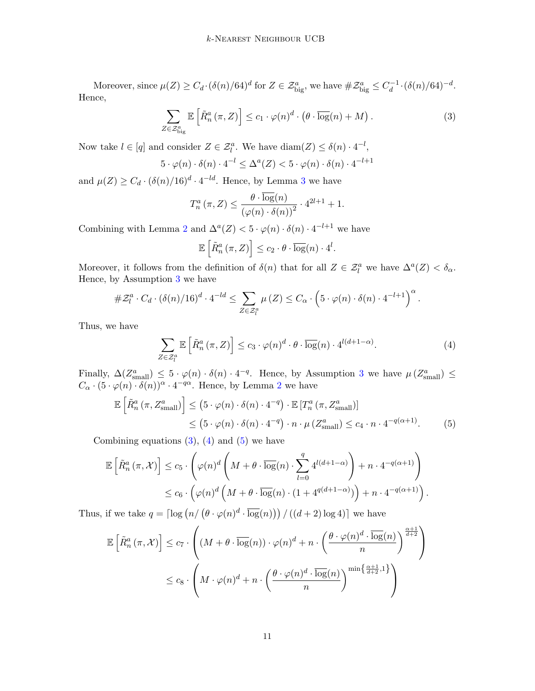Moreover, since  $\mu(Z) \geq C_d \cdot (\delta(n)/64)^d$  for  $Z \in \mathcal{Z}_{\text{big}}^a$ , we have  $\#\mathcal{Z}_{\text{big}}^a \leq C_d^{-1}$  $\int_{d}^{-1} \cdot (\delta(n)/64)^{-d}$ . Hence,

$$
\sum_{Z \in \mathcal{Z}_{\text{big}}^{a}} \mathbb{E}\left[\tilde{R}_{n}^{a}(\pi, Z)\right] \leq c_{1} \cdot \varphi(n)^{d} \cdot \left(\theta \cdot \overline{\log}(n) + M\right). \tag{3}
$$

Now take  $l \in [q]$  and consider  $Z \in \mathcal{Z}_l^a$ . We have  $\text{diam}(Z) \leq \delta(n) \cdot 4^{-l}$ ,

$$
5 \cdot \varphi(n) \cdot \delta(n) \cdot 4^{-l} \leq \Delta^{a}(Z) < 5 \cdot \varphi(n) \cdot \delta(n) \cdot 4^{-l+1}
$$

and  $\mu(Z) \geq C_d \cdot (\delta(n)/16)^d \cdot 4^{-ld}$ . Hence, by Lemma [3](#page-7-0) we have

<span id="page-10-0"></span>
$$
T_n^a(\pi, Z) \le \frac{\theta \cdot \overline{\log}(n)}{\left(\varphi(n) \cdot \delta(n)\right)^2} \cdot 4^{2l+1} + 1.
$$

Combining with Lemma [2](#page-7-3) and  $\Delta^{a}(Z) < 5 \cdot \varphi(n) \cdot \delta(n) \cdot 4^{-l+1}$  we have

<span id="page-10-1"></span>
$$
\mathbb{E}\left[\tilde{R}_n^a\left(\pi,Z\right)\right] \leq c_2 \cdot \theta \cdot \overline{\log}(n) \cdot 4^l.
$$

Moreover, it follows from the definition of  $\delta(n)$  that for all  $Z \in \mathcal{Z}_{l}^{a}$  we have  $\Delta^{a}(Z) < \delta_{\alpha}$ . Hence, by Assumption [3](#page-3-2) we have

$$
\#\mathcal{Z}_l^a \cdot C_d \cdot (\delta(n)/16)^d \cdot 4^{-ld} \leq \sum_{Z \in \mathcal{Z}_l^a} \mu(Z) \leq C_\alpha \cdot \left(5 \cdot \varphi(n) \cdot \delta(n) \cdot 4^{-l+1}\right)^\alpha.
$$

Thus, we have

<span id="page-10-2"></span>
$$
\sum_{Z \in \mathcal{Z}_l^a} \mathbb{E}\left[\tilde{R}_n^a\left(\pi, Z\right)\right] \le c_3 \cdot \varphi(n)^d \cdot \theta \cdot \overline{\log}(n) \cdot 4^{l(d+1-\alpha)}.\tag{4}
$$

Finally,  $\Delta(Z_{\text{small}}^a) \leq 5 \cdot \varphi(n) \cdot \delta(n) \cdot 4^{-q}$ . Hence, by Assumption [3](#page-3-2) we have  $\mu(Z_{\text{small}}^a) \leq$  $C_{\alpha} \cdot (5 \cdot \varphi(n) \cdot \delta(n))^{\alpha} \cdot 4^{-q\alpha}$ . Hence, by Lemma [2](#page-7-3) we have

$$
\mathbb{E}\left[\tilde{R}_{n}^{a}(\pi, Z_{\text{small}}^{a})\right] \leq (5 \cdot \varphi(n) \cdot \delta(n) \cdot 4^{-q}) \cdot \mathbb{E}\left[T_{n}^{a}(\pi, Z_{\text{small}}^{a})\right]
$$

$$
\leq (5 \cdot \varphi(n) \cdot \delta(n) \cdot 4^{-q}) \cdot n \cdot \mu\left(Z_{\text{small}}^{a}\right) \leq c_{4} \cdot n \cdot 4^{-q(\alpha+1)}.
$$
 (5)

Combining equations  $(3)$ ,  $(4)$  and  $(5)$  we have

$$
\mathbb{E}\left[\tilde{R}_n^a(\pi,\mathcal{X})\right] \le c_5 \cdot \left(\varphi(n)^d \left(M+\theta \cdot \overline{\log}(n) \cdot \sum_{l=0}^q 4^{l(d+1-\alpha)}\right) + n \cdot 4^{-q(\alpha+1)}\right)
$$
  

$$
\le c_6 \cdot \left(\varphi(n)^d \left(M+\theta \cdot \overline{\log}(n) \cdot \left(1+4^{q(d+1-\alpha)}\right)\right) + n \cdot 4^{-q(\alpha+1)}\right).
$$

Thus, if we take  $q = \left\lceil \log \left( n / \left( \theta \cdot \varphi(n)^d \cdot \overline{\log}(n) \right) \right) / \left( (d+2) \log 4 \right) \right\rceil$  we have

$$
\mathbb{E}\left[\tilde{R}_n^a(\pi,\mathcal{X})\right] \le c_7 \cdot \left( (M + \theta \cdot \overline{\log}(n)) \cdot \varphi(n)^d + n \cdot \left(\frac{\theta \cdot \varphi(n)^d \cdot \overline{\log}(n)}{n}\right)^{\frac{\alpha+1}{d+2}} \right)
$$
  

$$
\le c_8 \cdot \left( M \cdot \varphi(n)^d + n \cdot \left(\frac{\theta \cdot \varphi(n)^d \cdot \overline{\log}(n)}{n}\right)^{\min\left\{\frac{\alpha+1}{d+2}, 1\right\}} \right)
$$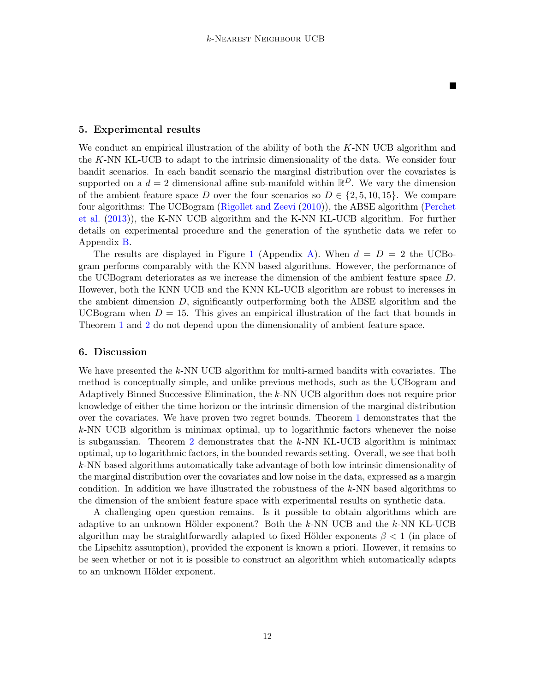П

### <span id="page-11-0"></span>5. Experimental results

We conduct an empirical illustration of the ability of both the K-NN UCB algorithm and the K-NN KL-UCB to adapt to the intrinsic dimensionality of the data. We consider four bandit scenarios. In each bandit scenario the marginal distribution over the covariates is supported on a  $d = 2$  dimensional affine sub-manifold within  $\mathbb{R}^D$ . We vary the dimension of the ambient feature space D over the four scenarios so  $D \in \{2, 5, 10, 15\}$ . We compare four algorithms: The UCBogram [\(Rigollet and Zeevi](#page-13-3) [\(2010\)](#page-13-3)), the ABSE algorithm [\(Perchet](#page-13-1) [et al.](#page-13-1) [\(2013\)](#page-13-1)), the K-NN UCB algorithm and the K-NN KL-UCB algorithm. For further details on experimental procedure and the generation of the synthetic data we refer to Appendix [B.](#page-15-1)

The results are displayed in Figure [1](#page-14-0) (Appendix [A\)](#page-14-1). When  $d = D = 2$  the UCBogram performs comparably with the KNN based algorithms. However, the performance of the UCBogram deteriorates as we increase the dimension of the ambient feature space D. However, both the KNN UCB and the KNN KL-UCB algorithm are robust to increases in the ambient dimension D, significantly outperforming both the ABSE algorithm and the UCBogram when  $D = 15$ . This gives an empirical illustration of the fact that bounds in Theorem [1](#page-5-2) and [2](#page-6-3) do not depend upon the dimensionality of ambient feature space.

#### 6. Discussion

We have presented the k-NN UCB algorithm for multi-armed bandits with covariates. The method is conceptually simple, and unlike previous methods, such as the UCBogram and Adaptively Binned Successive Elimination, the k-NN UCB algorithm does not require prior knowledge of either the time horizon or the intrinsic dimension of the marginal distribution over the covariates. We have proven two regret bounds. Theorem [1](#page-5-2) demonstrates that the k-NN UCB algorithm is minimax optimal, up to logarithmic factors whenever the noise is subgaussian. Theorem [2](#page-6-3) demonstrates that the  $k$ -NN KL-UCB algorithm is minimax optimal, up to logarithmic factors, in the bounded rewards setting. Overall, we see that both k-NN based algorithms automatically take advantage of both low intrinsic dimensionality of the marginal distribution over the covariates and low noise in the data, expressed as a margin condition. In addition we have illustrated the robustness of the k-NN based algorithms to the dimension of the ambient feature space with experimental results on synthetic data.

A challenging open question remains. Is it possible to obtain algorithms which are adaptive to an unknown Hölder exponent? Both the  $k$ -NN UCB and the  $k$ -NN KL-UCB algorithm may be straightforwardly adapted to fixed Hölder exponents  $\beta$  < 1 (in place of the Lipschitz assumption), provided the exponent is known a priori. However, it remains to be seen whether or not it is possible to construct an algorithm which automatically adapts to an unknown Hölder exponent.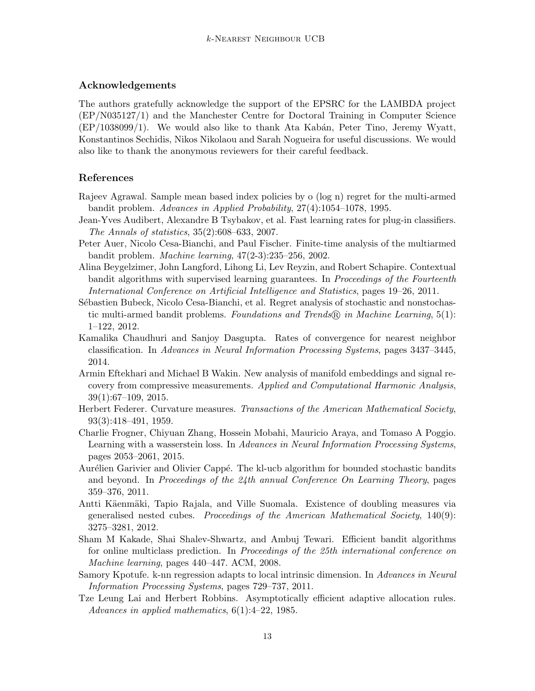# Acknowledgements

The authors gratefully acknowledge the support of the EPSRC for the LAMBDA project (EP/N035127/1) and the Manchester Centre for Doctoral Training in Computer Science  $(EP/1038099/1)$ . We would also like to thank Ata Kabán, Peter Tino, Jeremy Wyatt, Konstantinos Sechidis, Nikos Nikolaou and Sarah Nogueira for useful discussions. We would also like to thank the anonymous reviewers for their careful feedback.

## References

- <span id="page-12-2"></span>Rajeev Agrawal. Sample mean based index policies by o (log n) regret for the multi-armed bandit problem. Advances in Applied Probability, 27(4):1054–1078, 1995.
- <span id="page-12-13"></span>Jean-Yves Audibert, Alexandre B Tsybakov, et al. Fast learning rates for plug-in classifiers. The Annals of statistics, 35(2):608–633, 2007.
- <span id="page-12-3"></span>Peter Auer, Nicolo Cesa-Bianchi, and Paul Fischer. Finite-time analysis of the multiarmed bandit problem. Machine learning, 47(2-3):235–256, 2002.
- <span id="page-12-5"></span>Alina Beygelzimer, John Langford, Lihong Li, Lev Reyzin, and Robert Schapire. Contextual bandit algorithms with supervised learning guarantees. In Proceedings of the Fourteenth International Conference on Artificial Intelligence and Statistics, pages 19–26, 2011.
- <span id="page-12-0"></span>Sébastien Bubeck, Nicolo Cesa-Bianchi, et al. Regret analysis of stochastic and nonstochastic multi-armed bandit problems. Foundations and Trends  $\mathbb{R}$  in Machine Learning, 5(1): 1–122, 2012.
- <span id="page-12-9"></span>Kamalika Chaudhuri and Sanjoy Dasgupta. Rates of convergence for nearest neighbor classification. In Advances in Neural Information Processing Systems, pages 3437–3445, 2014.
- <span id="page-12-12"></span>Armin Eftekhari and Michael B Wakin. New analysis of manifold embeddings and signal recovery from compressive measurements. Applied and Computational Harmonic Analysis, 39(1):67–109, 2015.
- <span id="page-12-11"></span>Herbert Federer. Curvature measures. Transactions of the American Mathematical Society, 93(3):418–491, 1959.
- <span id="page-12-7"></span>Charlie Frogner, Chiyuan Zhang, Hossein Mobahi, Mauricio Araya, and Tomaso A Poggio. Learning with a wasserstein loss. In Advances in Neural Information Processing Systems, pages 2053–2061, 2015.
- <span id="page-12-4"></span>Aurélien Garivier and Olivier Cappé. The kl-ucb algorithm for bounded stochastic bandits and beyond. In Proceedings of the 24th annual Conference On Learning Theory, pages 359–376, 2011.
- <span id="page-12-10"></span>Antti Käenmäki, Tapio Rajala, and Ville Suomala. Existence of doubling measures via generalised nested cubes. Proceedings of the American Mathematical Society, 140(9): 3275–3281, 2012.
- <span id="page-12-6"></span>Sham M Kakade, Shai Shalev-Shwartz, and Ambuj Tewari. Efficient bandit algorithms for online multiclass prediction. In Proceedings of the 25th international conference on Machine learning, pages 440–447. ACM, 2008.
- <span id="page-12-8"></span>Samory Kpotufe. k-nn regression adapts to local intrinsic dimension. In Advances in Neural Information Processing Systems, pages 729–737, 2011.
- <span id="page-12-1"></span>Tze Leung Lai and Herbert Robbins. Asymptotically efficient adaptive allocation rules. Advances in applied mathematics,  $6(1):4-22$ , 1985.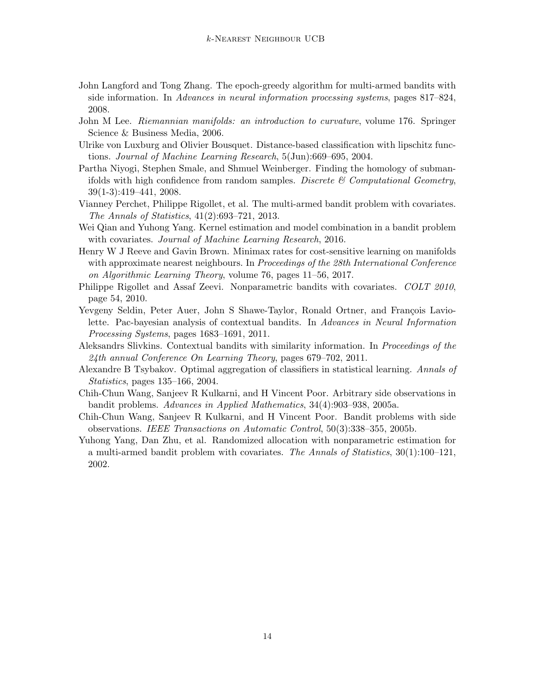- <span id="page-13-0"></span>John Langford and Tong Zhang. The epoch-greedy algorithm for multi-armed bandits with side information. In Advances in neural information processing systems, pages 817–824, 2008.
- <span id="page-13-11"></span>John M Lee. Riemannian manifolds: an introduction to curvature, volume 176. Springer Science & Business Media, 2006.
- <span id="page-13-10"></span>Ulrike von Luxburg and Olivier Bousquet. Distance-based classification with lipschitz functions. Journal of Machine Learning Research, 5(Jun):669–695, 2004.
- <span id="page-13-12"></span>Partha Niyogi, Stephen Smale, and Shmuel Weinberger. Finding the homology of submanifolds with high confidence from random samples. Discrete  $\mathcal C$  Computational Geometry, 39(1-3):419–441, 2008.
- <span id="page-13-1"></span>Vianney Perchet, Philippe Rigollet, et al. The multi-armed bandit problem with covariates. The Annals of Statistics, 41(2):693–721, 2013.
- <span id="page-13-2"></span>Wei Qian and Yuhong Yang. Kernel estimation and model combination in a bandit problem with covariates. Journal of Machine Learning Research, 2016.
- <span id="page-13-13"></span>Henry W J Reeve and Gavin Brown. Minimax rates for cost-sensitive learning on manifolds with approximate nearest neighbours. In Proceedings of the 28th International Conference on Algorithmic Learning Theory, volume 76, pages 11–56, 2017.
- <span id="page-13-3"></span>Philippe Rigollet and Assaf Zeevi. Nonparametric bandits with covariates. COLT 2010, page 54, 2010.
- <span id="page-13-4"></span>Yevgeny Seldin, Peter Auer, John S Shawe-Taylor, Ronald Ortner, and François Laviolette. Pac-bayesian analysis of contextual bandits. In Advances in Neural Information Processing Systems, pages 1683–1691, 2011.
- <span id="page-13-5"></span>Aleksandrs Slivkins. Contextual bandits with similarity information. In Proceedings of the 24th annual Conference On Learning Theory, pages 679–702, 2011.
- <span id="page-13-9"></span>Alexandre B Tsybakov. Optimal aggregation of classifiers in statistical learning. Annals of Statistics, pages 135–166, 2004.
- <span id="page-13-6"></span>Chih-Chun Wang, Sanjeev R Kulkarni, and H Vincent Poor. Arbitrary side observations in bandit problems. Advances in Applied Mathematics, 34(4):903–938, 2005a.
- <span id="page-13-7"></span>Chih-Chun Wang, Sanjeev R Kulkarni, and H Vincent Poor. Bandit problems with side observations. IEEE Transactions on Automatic Control, 50(3):338–355, 2005b.
- <span id="page-13-8"></span>Yuhong Yang, Dan Zhu, et al. Randomized allocation with nonparametric estimation for a multi-armed bandit problem with covariates. The Annals of Statistics, 30(1):100–121, 2002.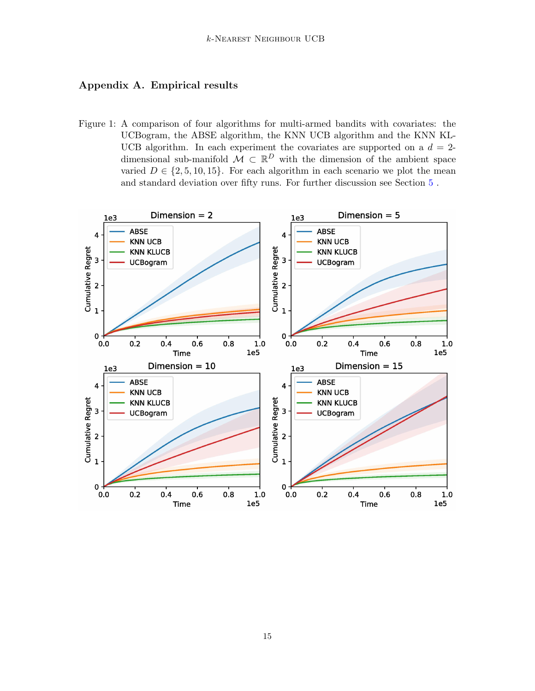# <span id="page-14-1"></span>Appendix A. Empirical results

<span id="page-14-0"></span>Figure 1: A comparison of four algorithms for multi-armed bandits with covariates: the UCBogram, the ABSE algorithm, the KNN UCB algorithm and the KNN KL-UCB algorithm. In each experiment the covariates are supported on a  $d = 2$ dimensional sub-manifold  $\mathcal{M} \subset \mathbb{R}^D$  with the dimension of the ambient space varied  $D \in \{2, 5, 10, 15\}$ . For each algorithm in each scenario we plot the mean and standard deviation over fifty runs. For further discussion see Section [5](#page-11-0) .

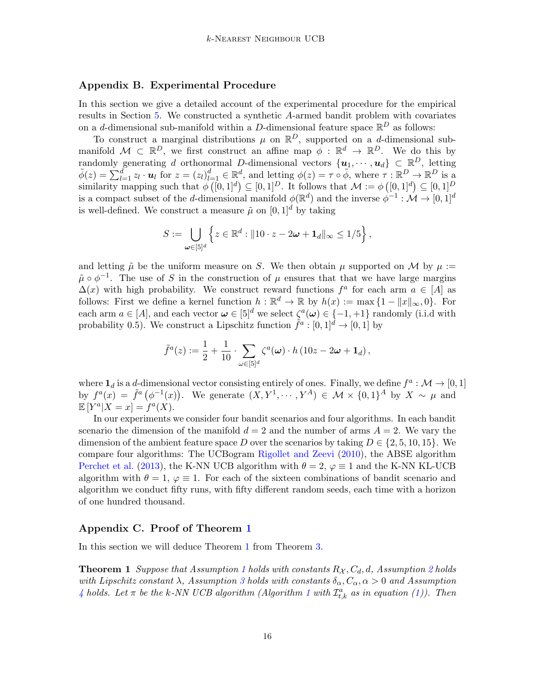### <span id="page-15-1"></span>Appendix B. Experimental Procedure

In this section we give a detailed account of the experimental procedure for the empirical results in Section [5.](#page-11-0) We constructed a synthetic A-armed bandit problem with covariates on a *d*-dimensional sub-manifold within a *D*-dimensional feature space  $\mathbb{R}^D$  as follows:

To construct a marginal distributions  $\mu$  on  $\mathbb{R}^D$ , supported on a *d*-dimensional submanifold  $\mathcal{M} \subset \mathbb{R}^D$ , we first construct an affine map  $\phi : \mathbb{R}^d \to \mathbb{R}^D$ . We do this by randomly generating d orthonormal D-dimensional vectors  $\{u_1, \dots, u_d\} \subset \mathbb{R}^D$ , letting  $\tilde{\phi}(z) = \sum_{l=1}^d z_l \cdot u_l$  for  $z = (z_l)_{l=1}^d \in \mathbb{R}^d$ , and letting  $\phi(z) = \tau \circ \tilde{\phi}$ , where  $\tau : \mathbb{R}^D \to \mathbb{R}^D$  is a similarity mapping such that  $\phi([0,1]^d) \subseteq [0,1]^D$ . It follows that  $\mathcal{M} := \phi([0,1]^d) \subseteq [0,1]^D$ is a compact subset of the d-dimensional manifold  $\phi(\mathbb{R}^d)$  and the inverse  $\phi^{-1} : \mathcal{M} \to [0,1]^d$ is well-defined. We construct a measure  $\tilde{\mu}$  on  $[0, 1]^d$  by taking

$$
S := \bigcup_{\boldsymbol{\omega} \in [5]^d} \left\{ z \in \mathbb{R}^d : \|10 \cdot z - 2\boldsymbol{\omega} + \mathbf{1}_d\|_{\infty} \le 1/5 \right\},\
$$

and letting  $\tilde{\mu}$  be the uniform measure on S. We then obtain  $\mu$  supported on M by  $\mu$  :=  $\tilde{\mu} \circ \phi^{-1}$ . The use of S in the construction of  $\mu$  ensures that that we have large margins  $\Delta(x)$  with high probability. We construct reward functions  $f^a$  for each arm  $a \in [A]$  as follows: First we define a kernel function  $h : \mathbb{R}^d \to \mathbb{R}$  by  $h(x) := \max\{1 - ||x||_{\infty}, 0\}$ . For each arm  $a \in [A]$ , and each vector  $\boldsymbol{\omega} \in [5]^d$  we select  $\zeta^a(\boldsymbol{\omega}) \in \{-1, +1\}$  randomly (i.i.d with probability 0.5). We construct a Lipschitz function  $\tilde{f}^a: [0,1]^d \to [0,1]$  by

$$
\tilde{f}^a(z) := \frac{1}{2} + \frac{1}{10} \cdot \sum_{\omega \in [5]^d} \zeta^a(\omega) \cdot h \left(10z - 2\omega + \mathbf{1}_d\right),\,
$$

where  $\mathbf{1}_d$  is a d-dimensional vector consisting entirely of ones. Finally, we define  $f^a: \mathcal{M} \to [0, 1]$ by  $f^a(x) = \tilde{f}^a(\phi^{-1}(x))$ . We generate  $(X, Y^1, \dots, Y^A) \in \mathcal{M} \times \{0, 1\}^A$  by  $X \sim \mu$  and  $\mathbb{E}[Y^a|X=x] = \dot{f}^a(X).$ 

In our experiments we consider four bandit scenarios and four algorithms. In each bandit scenario the dimension of the manifold  $d = 2$  and the number of arms  $A = 2$ . We vary the dimension of the ambient feature space D over the scenarios by taking  $D \in \{2, 5, 10, 15\}$ . We compare four algorithms: The UCBogram [Rigollet and Zeevi](#page-13-3) [\(2010\)](#page-13-3), the ABSE algorithm [Perchet et al.](#page-13-1) [\(2013\)](#page-13-1), the K-NN UCB algorithm with  $\theta = 2$ ,  $\varphi \equiv 1$  and the K-NN KL-UCB algorithm with  $\theta = 1$ ,  $\varphi \equiv 1$ . For each of the sixteen combinations of bandit scenario and algorithm we conduct fifty runs, with fifty different random seeds, each time with a horizon of one hundred thousand.

### <span id="page-15-0"></span>Appendix C. Proof of Theorem [1](#page-5-2)

In this section we will deduce Theorem [1](#page-5-2) from Theorem [3.](#page-6-0)

**Theorem [1](#page-3-0)** Suppose that Assumption 1 holds with constants  $R_{\mathcal{X}}, C_d, d$ , Assumption [2](#page-3-1) holds with Lipschitz constant  $\lambda$ , Assumption [3](#page-3-2) holds with constants  $\delta_{\alpha}, C_{\alpha}, \alpha > 0$  and Assumption [4](#page-4-0) holds. Let  $\pi$  be the k-NN UCB algorithm (Algorithm [1](#page-5-0) with  $\mathcal{I}^a_{t,k}$  as in equation [\(1\)](#page-5-1)). Then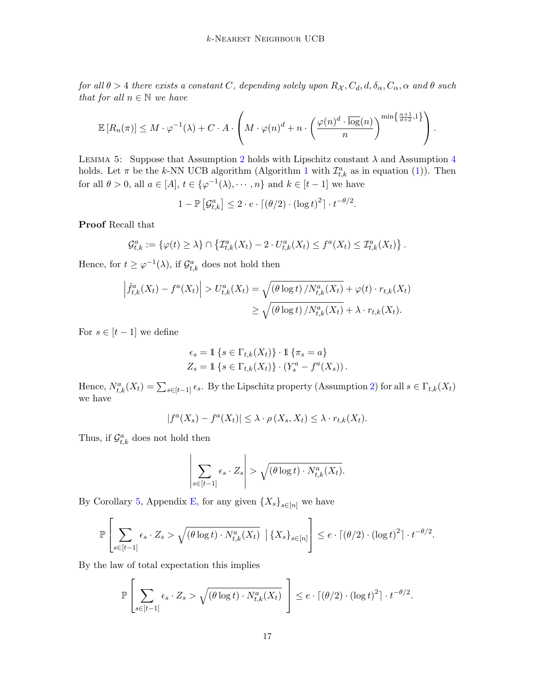for all  $\theta > 4$  there exists a constant C, depending solely upon  $R_{\mathcal{X}}, C_d, d, \delta_{\alpha}, C_{\alpha}, \alpha$  and  $\theta$  such that for all  $n \in \mathbb{N}$  we have

$$
\mathbb{E}\left[R_n(\pi)\right] \leq M \cdot \varphi^{-1}(\lambda) + C \cdot A \cdot \left(M \cdot \varphi(n)^d + n \cdot \left(\frac{\varphi(n)^d \cdot \log(n)}{n}\right)^{\min\left\{\frac{\alpha+1}{d+2},1\right\}}\right).
$$

<span id="page-16-0"></span>LEMMA 5: Suppose that Assumption [2](#page-3-1) holds with Lipschitz constant  $\lambda$  and Assumption [4](#page-4-0) holds. Let  $\pi$  be the k-NN UCB algorithm (Algorithm [1](#page-5-0) with  $\mathcal{I}_{t,k}^a$  as in equation [\(1\)](#page-5-1)). Then for all  $\theta > 0$ , all  $a \in [A], t \in {\varphi^{-1}(\lambda), \cdots, n}$  and  $k \in [t-1]$  we have

 $1 - \mathbb{P}\left[\mathcal{G}_{t,k}^a\right] \leq 2 \cdot e \cdot \left[\left(\theta/2\right) \cdot \left(\log t\right)^2\right] \cdot t^{-\theta/2}.$ 

Proof Recall that

$$
\mathcal{G}_{t,k}^a := \left\{ \varphi(t) \geq \lambda \right\} \cap \left\{ \mathcal{I}_{t,k}^a(X_t) - 2 \cdot U_{t,k}^a(X_t) \leq f^a(X_t) \leq \mathcal{I}_{t,k}^a(X_t) \right\}.
$$

Hence, for  $t \geq \varphi^{-1}(\lambda)$ , if  $\mathcal{G}_{t,k}^a$  does not hold then

$$
\left| \hat{f}_{t,k}^a(X_t) - f^a(X_t) \right| > U_{t,k}^a(X_t) = \sqrt{\left( \theta \log t \right) / N_{t,k}^a(X_t)} + \varphi(t) \cdot r_{t,k}(X_t)
$$
\n
$$
\geq \sqrt{\left( \theta \log t \right) / N_{t,k}^a(X_t)} + \lambda \cdot r_{t,k}(X_t).
$$

For  $s \in [t-1]$  we define

$$
\epsilon_s = \mathbb{1} \left\{ s \in \Gamma_{t,k}(X_t) \right\} \cdot \mathbb{1} \left\{ \pi_s = a \right\}
$$
  

$$
Z_s = \mathbb{1} \left\{ s \in \Gamma_{t,k}(X_t) \right\} \cdot \left( Y_s^a - f^a(X_s) \right).
$$

Hence,  $N_{t,k}^a(X_t) = \sum_{s \in [t-1]} \epsilon_s$ . By the Lipschitz property (Assumption [2\)](#page-3-1) for all  $s \in \Gamma_{t,k}(X_t)$ we have

$$
|f^a(X_s) - f^a(X_t)| \leq \lambda \cdot \rho(X_s, X_t) \leq \lambda \cdot r_{t,k}(X_t).
$$

Thus, if  $\mathcal{G}_{t,k}^a$  does not hold then

$$
\left|\sum_{s \in [t-1]} \epsilon_s \cdot Z_s\right| > \sqrt{(\theta \log t) \cdot N_{t,k}^a(X_t)}.
$$

By Corollary [5,](#page-21-0) Appendix [E,](#page-19-0) for any given  $\{X_s\}_{s\in[n]}$  we have

$$
\mathbb{P}\left[\sum_{s\in[t-1]}\epsilon_s\cdot Z_s > \sqrt{(\theta\log t)\cdot N_{t,k}^a(X_t)} \mid \{X_s\}_{s\in[n]}\right] \leq e\cdot\lceil (\theta/2)\cdot (\log t)^2\rceil \cdot t^{-\theta/2}.
$$

By the law of total expectation this implies

$$
\mathbb{P}\left[\sum_{s\in[t-1]} \epsilon_s \cdot Z_s > \sqrt{(\theta \log t) \cdot N_{t,k}^a(X_t)}\ \right] \leq e \cdot \lceil (\theta/2) \cdot (\log t)^2\rceil \cdot t^{-\theta/2}.
$$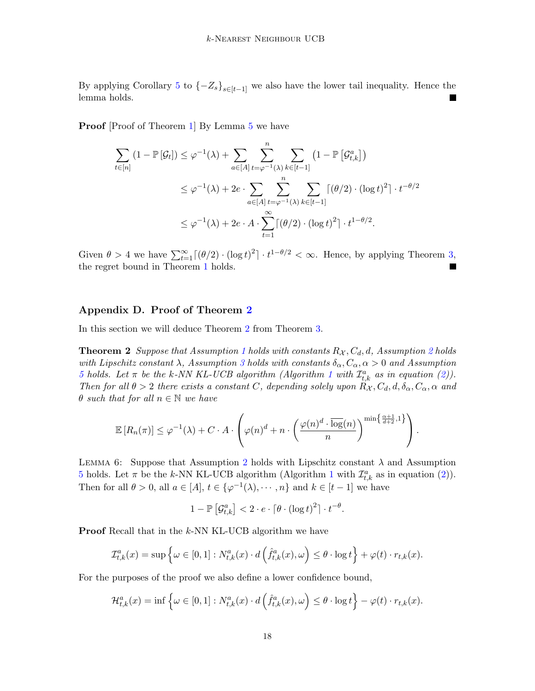By applying Corollary [5](#page-21-0) to  $\{-Z_s\}_{s\in[t-1]}$  we also have the lower tail inequality. Hence the lemma holds.

Proof [Proof of Theorem [1\]](#page-5-2) By Lemma [5](#page-16-0) we have

$$
\sum_{t \in [n]} (1 - \mathbb{P}[\mathcal{G}_t]) \leq \varphi^{-1}(\lambda) + \sum_{a \in [A]} \sum_{t = \varphi^{-1}(\lambda)}^{n} \sum_{k \in [t-1]} (1 - \mathbb{P}[\mathcal{G}_{t,k}^a])
$$
\n
$$
\leq \varphi^{-1}(\lambda) + 2e \cdot \sum_{a \in [A]} \sum_{t = \varphi^{-1}(\lambda)}^{n} \sum_{k \in [t-1]} [(\theta/2) \cdot (\log t)^2] \cdot t^{-\theta/2}
$$
\n
$$
\leq \varphi^{-1}(\lambda) + 2e \cdot A \cdot \sum_{t=1}^{\infty} [(\theta/2) \cdot (\log t)^2] \cdot t^{1-\theta/2}.
$$

Given  $\theta > 4$  we have  $\sum_{t=1}^{\infty} \left[ (\theta/2) \cdot (\log t)^2 \right] \cdot t^{1-\theta/2} < \infty$ . Hence, by applying Theorem [3,](#page-6-0) the regret bound in Theorem [1](#page-5-2) holds.

### <span id="page-17-0"></span>Appendix D. Proof of Theorem [2](#page-6-3)

In this section we will deduce Theorem [2](#page-6-3) from Theorem [3.](#page-6-0)

**Theorem [2](#page-3-1)** Suppose that Assumption [1](#page-3-0) holds with constants  $R_{\mathcal{X}}, C_d, d$ , Assumption 2 holds with Lipschitz constant  $\lambda$ , Assumption [3](#page-3-2) holds with constants  $\delta_{\alpha}, C_{\alpha}, \alpha > 0$  and Assumption [5](#page-4-1) holds. Let  $\pi$  be the k-NN KL-UCB algorithm (Algorithm [1](#page-5-0) with  $\mathcal{I}_{t,k}^a$  as in equation [\(2\)](#page-6-2)). Then for all  $\theta > 2$  there exists a constant C, depending solely upon  $R_{\mathcal{X}}, C_d, d, \delta_{\alpha}, C_{\alpha}, \alpha$  and  $\theta$  such that for all  $n \in \mathbb{N}$  we have

$$
\mathbb{E}\left[R_n(\pi)\right] \leq \varphi^{-1}(\lambda) + C \cdot A \cdot \left(\varphi(n)^d + n \cdot \left(\frac{\varphi(n)^d \cdot \overline{\log}(n)}{n}\right)^{\min\left\{\frac{\alpha+1}{d+2},1\right\}}\right).
$$

<span id="page-17-1"></span>LEMMA 6: Suppose that Assumption [2](#page-3-1) holds with Lipschitz constant  $\lambda$  and Assumption [5](#page-4-1) holds. Let  $\pi$  be the k-NN KL-UCB algorithm (Algorithm [1](#page-5-0) with  $\mathcal{I}_{t,k}^a$  as in equation [\(2\)](#page-6-2)). Then for all  $\theta > 0$ , all  $a \in [A], t \in {\varphi^{-1}(\lambda), \cdots, n}$  and  $k \in [t-1]$  we have

$$
1 - \mathbb{P}\left[\mathcal{G}_{t,k}^a\right] < 2 \cdot e \cdot \lceil \theta \cdot (\log t)^2 \rceil \cdot t^{-\theta}.
$$

**Proof** Recall that in the k-NN KL-UCB algorithm we have

$$
\mathcal{I}_{t,k}^a(x) = \sup \left\{ \omega \in [0,1] : N_{t,k}^a(x) \cdot d\left(\hat{f}_{t,k}^a(x), \omega\right) \leq \theta \cdot \log t \right\} + \varphi(t) \cdot r_{t,k}(x).
$$

For the purposes of the proof we also define a lower confidence bound,

$$
\mathcal{H}^{a}_{t,k}(x) = \inf \left\{ \omega \in [0,1] : N^{a}_{t,k}(x) \cdot d\left(\hat{f}^{a}_{t,k}(x), \omega\right) \leq \theta \cdot \log t \right\} - \varphi(t) \cdot r_{t,k}(x).
$$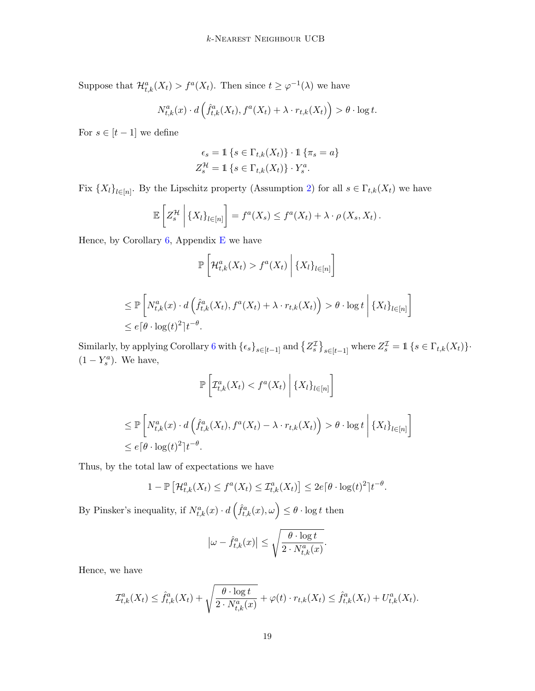Suppose that  $\mathcal{H}_{t,k}^a(X_t) > f^a(X_t)$ . Then since  $t \geq \varphi^{-1}(\lambda)$  we have

$$
N_{t,k}^a(x) \cdot d\left(\hat{f}_{t,k}^a(X_t), f^a(X_t) + \lambda \cdot r_{t,k}(X_t)\right) > \theta \cdot \log t.
$$

For  $s \in [t-1]$  we define

$$
\epsilon_s = \mathbb{1} \left\{ s \in \Gamma_{t,k}(X_t) \right\} \cdot \mathbb{1} \left\{ \pi_s = a \right\}
$$
  

$$
Z_s^{\mathcal{H}} = \mathbb{1} \left\{ s \in \Gamma_{t,k}(X_t) \right\} \cdot Y_s^a.
$$

Fix  ${X_l}_{l\in[n]}$ . By the Lipschitz property (Assumption [2\)](#page-3-1) for all  $s \in \Gamma_{t,k}(X_t)$  we have

$$
\mathbb{E}\left[Z_s^{\mathcal{H}}\,\middle|\,\{X_l\}_{l\in[n]}\right] = f^a(X_s) \leq f^a(X_t) + \lambda \cdot \rho(X_s, X_t).
$$

Hence, by Corollary  $6$ , Appendix [E](#page-19-0) we have

$$
\mathbb{P}\left[\mathcal{H}_{t,k}^a(X_t) > f^a(X_t) \middle| \{X_l\}_{l \in [n]}\right]
$$

$$
\leq \mathbb{P}\left[N_{t,k}^a(x) \cdot d\left(\hat{f}_{t,k}^a(X_t), f^a(X_t) + \lambda \cdot r_{t,k}(X_t)\right) > \theta \cdot \log t \mid \{X_l\}_{l \in [n]}\right]
$$
  

$$
\leq e\left[\theta \cdot \log(t)^2\right]t^{-\theta}.
$$

Similarly, by applying Corollary [6](#page-21-1) with  $\{\epsilon_s\}_{s\in[t-1]}$  and  $\{Z_s^{\mathcal{I}}\}_{s\in[t-1]}$  where  $Z_s^{\mathcal{I}} = \mathbb{1} \{s \in \Gamma_{t,k}(X_t)\}$ .  $(1 - Y_s^a)$ . We have,

$$
\mathbb{P}\left[\mathcal{I}_{t,k}^a(X_t) < f^a(X_t) \middle| \{X_l\}_{l \in [n]} \right]
$$

$$
\leq \mathbb{P}\left[N_{t,k}^{a}(x) \cdot d\left(\hat{f}_{t,k}^{a}(X_{t}), f^{a}(X_{t}) - \lambda \cdot r_{t,k}(X_{t})\right) > \theta \cdot \log t \mid \{X_{l}\}_{l \in [n]}\right]
$$
  

$$
\leq e\left[\theta \cdot \log(t)^{2}\right]t^{-\theta}.
$$

Thus, by the total law of expectations we have

$$
1 - \mathbb{P}\left[\mathcal{H}_{t,k}^a(X_t) \le f^a(X_t) \le \mathcal{I}_{t,k}^a(X_t)\right] \le 2e\lceil \theta \cdot \log(t)^2 \rceil t^{-\theta}.
$$

By Pinsker's inequality, if  $N_{t,k}^a(x) \cdot d\left(\hat{f}_{t,k}^a(x), \omega\right) \leq \theta \cdot \log t$  then

$$
\left|\omega - \hat{f}_{t,k}^a(x)\right| \le \sqrt{\frac{\theta \cdot \log t}{2 \cdot N_{t,k}^a(x)}}.
$$

Hence, we have

$$
\mathcal{I}_{t,k}^a(X_t) \leq \hat{f}_{t,k}^a(X_t) + \sqrt{\frac{\theta \cdot \log t}{2 \cdot N_{t,k}^a(x)}} + \varphi(t) \cdot r_{t,k}(X_t) \leq \hat{f}_{t,k}^a(X_t) + U_{t,k}^a(X_t).
$$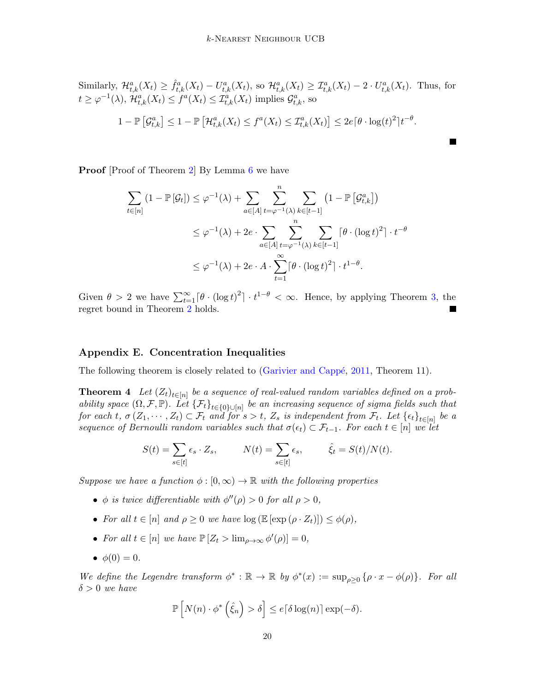Similarly, 
$$
\mathcal{H}_{t,k}^a(X_t) \geq \hat{f}_{t,k}^a(X_t) - U_{t,k}^a(X_t)
$$
, so  $\mathcal{H}_{t,k}^a(X_t) \geq \mathcal{I}_{t,k}^a(X_t) - 2 \cdot U_{t,k}^a(X_t)$ . Thus, for  
\n $t \geq \varphi^{-1}(\lambda), \mathcal{H}_{t,k}^a(X_t) \leq f^a(X_t) \leq \mathcal{I}_{t,k}^a(X_t)$  implies  $\mathcal{G}_{t,k}^a$ , so  
\n $1 - \mathbb{P}\left[\mathcal{G}_{t,k}^a\right] \leq 1 - \mathbb{P}\left[\mathcal{H}_{t,k}^a(X_t) \leq f^a(X_t) \leq \mathcal{I}_{t,k}^a(X_t)\right] \leq 2e\left[\theta \cdot \log(t)^2\right]t^{-\theta}$ .

П

**Proof** [Proof of Theorem [2\]](#page-6-3) By Lemma [6](#page-17-1) we have

$$
\sum_{t \in [n]} (1 - \mathbb{P}[\mathcal{G}_t]) \leq \varphi^{-1}(\lambda) + \sum_{a \in [A]} \sum_{t = \varphi^{-1}(\lambda)}^{n} \sum_{k \in [t-1]} (1 - \mathbb{P}[\mathcal{G}_{t,k}^a])
$$
  

$$
\leq \varphi^{-1}(\lambda) + 2e \cdot \sum_{a \in [A]} \sum_{t = \varphi^{-1}(\lambda)}^{n} \sum_{k \in [t-1]} [\theta \cdot (\log t)^2] \cdot t^{-\theta}
$$
  

$$
\leq \varphi^{-1}(\lambda) + 2e \cdot A \cdot \sum_{t=1}^{\infty} [\theta \cdot (\log t)^2] \cdot t^{1-\theta}.
$$

Given  $\theta > 2$  we have  $\sum_{t=1}^{\infty} [\theta \cdot (\log t)^2] \cdot t^{1-\theta} < \infty$ . Hence, by applying Theorem [3,](#page-6-0) the regret bound in Theorem [2](#page-6-3) holds.

### <span id="page-19-0"></span>Appendix E. Concentration Inequalities

<span id="page-19-1"></span>The following theorem is closely related to (Garivier and Cappé, [2011,](#page-12-4) Theorem 11).

**Theorem 4** Let  $(Z_t)_{t\in[n]}$  be a sequence of real-valued random variables defined on a probability space  $(\Omega, \mathcal{F}, \mathbb{P})$ . Let  $\{\mathcal{F}_t\}_{t\in\{0\}\cup[n]}$  be an increasing sequence of sigma fields such that for each t,  $\sigma(Z_1,\dots, Z_t) \subset \mathcal{F}_t$  and for  $s > t$ ,  $Z_s$  is independent from  $\mathcal{F}_t$ . Let  $\{\epsilon_t\}_{t \in [n]}$  be a sequence of Bernoulli random variables such that  $\sigma(\epsilon_t) \subset \mathcal{F}_{t-1}$ . For each  $t \in [n]$  we let

$$
S(t) = \sum_{s \in [t]} \epsilon_s \cdot Z_s, \qquad N(t) = \sum_{s \in [t]} \epsilon_s, \qquad \hat{\xi}_t = S(t)/N(t).
$$

Suppose we have a function  $\phi : [0, \infty) \to \mathbb{R}$  with the following properties

- $\phi$  is twice differentiable with  $\phi''(\rho) > 0$  for all  $\rho > 0$ ,
- For all  $t \in [n]$  and  $\rho \geq 0$  we have  $\log (\mathbb{E} [\exp (\rho \cdot Z_t)]) \leq \phi(\rho)$ ,
- For all  $t \in [n]$  we have  $\mathbb{P}\left[Z_t > \lim_{\rho \to \infty} \phi'(\rho)\right] = 0$ ,
- $\phi(0) = 0$ .

We define the Legendre transform  $\phi^*: \mathbb{R} \to \mathbb{R}$  by  $\phi^*(x) := \sup_{\rho \geq 0} {\{\rho \cdot x - \phi(\rho)\}}$ . For all  $\delta > 0$  we have

$$
\mathbb{P}\left[N(n)\cdot\phi^*\left(\hat{\xi}_n\right)>\delta\right]\leq e\lceil\delta\log(n)\rceil\exp(-\delta).
$$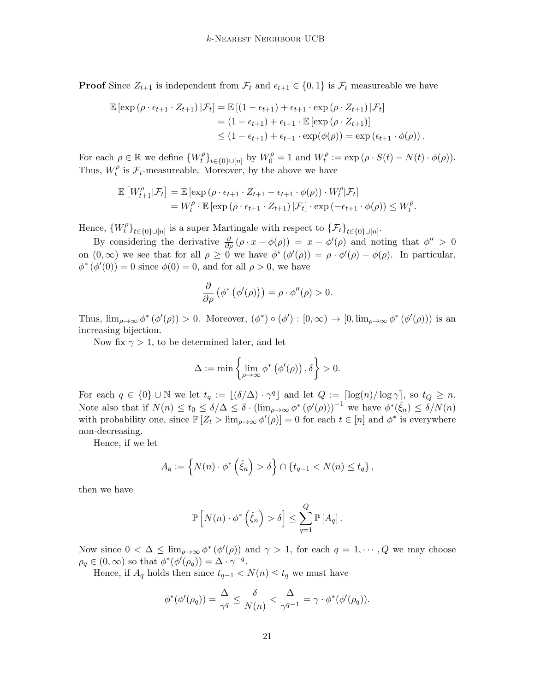**Proof** Since  $Z_{t+1}$  is independent from  $\mathcal{F}_t$  and  $\epsilon_{t+1} \in \{0,1\}$  is  $\mathcal{F}_t$  measureable we have

$$
\mathbb{E} \left[ \exp \left( \rho \cdot \epsilon_{t+1} \cdot Z_{t+1} \right) | \mathcal{F}_t \right] = \mathbb{E} \left[ \left( 1 - \epsilon_{t+1} \right) + \epsilon_{t+1} \cdot \exp \left( \rho \cdot Z_{t+1} \right) | \mathcal{F}_t \right]
$$
  
= 
$$
\left( 1 - \epsilon_{t+1} \right) + \epsilon_{t+1} \cdot \mathbb{E} \left[ \exp \left( \rho \cdot Z_{t+1} \right) \right]
$$
  

$$
\leq \left( 1 - \epsilon_{t+1} \right) + \epsilon_{t+1} \cdot \exp(\phi(\rho)) = \exp \left( \epsilon_{t+1} \cdot \phi(\rho) \right).
$$

For each  $\rho \in \mathbb{R}$  we define  $\{W_t^{\rho}\}$  $\{t^{\rho}\}_{t\in\{0\}\cup[n]}$  by  $W_0^{\rho}=1$  and  $W_t^{\rho}$  $t_t^{\rho} := \exp (\rho \cdot S(t) - N(t) \cdot \phi(\rho)).$ Thus,  $W_t^{\rho}$  $t_t^{\rho}$  is  $\mathcal{F}_t$ -measureable. Moreover, by the above we have

$$
\mathbb{E}\left[W_{t+1}^{\rho}|\mathcal{F}_{t}\right] = \mathbb{E}\left[\exp\left(\rho \cdot \epsilon_{t+1} \cdot Z_{t+1} - \epsilon_{t+1} \cdot \phi(\rho)\right) \cdot W_{t}^{\rho}|\mathcal{F}_{t}\right]
$$
  
=  $W_{t}^{\rho} \cdot \mathbb{E}\left[\exp\left(\rho \cdot \epsilon_{t+1} \cdot Z_{t+1}\right)|\mathcal{F}_{t}\right] \cdot \exp\left(-\epsilon_{t+1} \cdot \phi(\rho)\right) \leq W_{t}^{\rho}.$ 

Hence,  $\{W_t^{\rho}$  $\{\mathcal{F}_t\}_{t\in\{0\}\cup[n]}$  is a super Martingale with respect to  $\{\mathcal{F}_t\}_{t\in\{0\}\cup[n]}$ .

By considering the derivative  $\frac{\partial}{\partial \rho}(\rho \cdot x - \phi(\rho)) = x - \phi'(\rho)$  and noting that  $\phi'' > 0$ on  $(0, \infty)$  we see that for all  $\rho \geq 0$  we have  $\phi^*(\phi'(\rho)) = \rho \cdot \phi'(\rho) - \phi(\rho)$ . In particular,  $\phi^*(\phi'(0)) = 0$  since  $\phi(0) = 0$ , and for all  $\rho > 0$ , we have

$$
\frac{\partial}{\partial \rho} (\phi^* (\phi'(\rho))) = \rho \cdot \phi''(\rho) > 0.
$$

Thus,  $\lim_{\rho\to\infty}\phi^*(\phi'(\rho))>0$ . Moreover,  $(\phi^*)\circ(\phi'):[0,\infty)\to[0,\lim_{\rho\to\infty}\phi^*(\phi'(\rho)))$  is an increasing bijection.

Now fix  $\gamma > 1$ , to be determined later, and let

$$
\Delta := \min \left\{ \lim_{\rho \to \infty} \phi^* \left( \phi'(\rho) \right), \delta \right\} > 0.
$$

For each  $q \in \{0\} \cup \mathbb{N}$  we let  $t_q := \lfloor (\delta/\Delta) \cdot \gamma^q \rfloor$  and let  $Q := \lceil \log(n)/\log \gamma \rceil$ , so  $t_Q \geq n$ . Note also that if  $N(n) \le t_0 \le \delta/\Delta \le \delta \cdot (\lim_{\rho \to \infty} \phi^* (\phi'(\rho)))^{-1}$  we have  $\phi^* (\hat{\xi}_n) \le \delta/N(n)$ with probability one, since  $\mathbb{P}\left[Z_t > \lim_{\rho \to \infty} \phi'(\rho)\right] = 0$  for each  $t \in [n]$  and  $\phi^*$  is everywhere non-decreasing.

Hence, if we let

$$
A_q := \left\{ N(n) \cdot \phi^* \left( \hat{\xi}_n \right) > \delta \right\} \cap \left\{ t_{q-1} < N(n) \leq t_q \right\},\
$$

then we have

$$
\mathbb{P}\left[N(n)\cdot\phi^*\left(\hat{\xi}_n\right)>\delta\right]\leq\sum_{q=1}^Q\mathbb{P}\left[A_q\right].
$$

Now since  $0 < \Delta \leq \lim_{\rho \to \infty} \phi^*(\phi'(\rho))$  and  $\gamma > 1$ , for each  $q = 1, \dots, Q$  we may choose  $\rho_q \in (0,\infty)$  so that  $\phi^*(\phi'(\rho_q)) = \Delta \cdot \gamma^{-q}$ .

Hence, if  $A_q$  holds then since  $t_{q-1} < N(n) \leq t_q$  we must have

$$
\phi^*(\phi'(\rho_q)) = \frac{\Delta}{\gamma^q} \le \frac{\delta}{N(n)} < \frac{\Delta}{\gamma^{q-1}} = \gamma \cdot \phi^*(\phi'(\rho_q)).
$$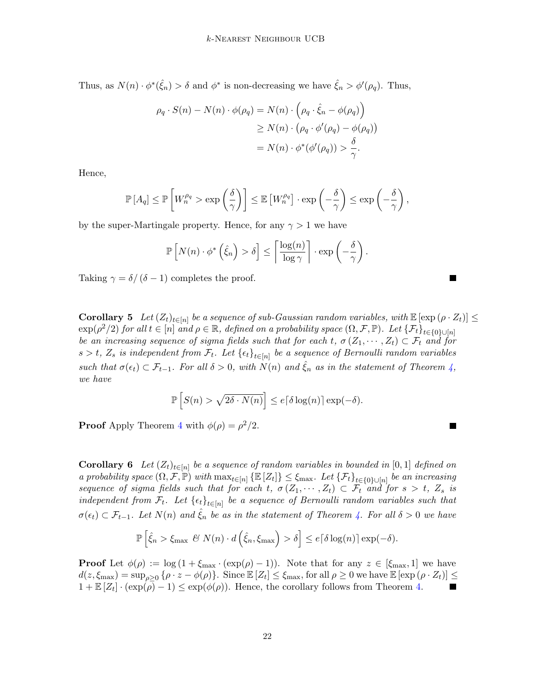Thus, as  $N(n) \cdot \phi^*(\hat{\xi}_n) > \delta$  and  $\phi^*$  is non-decreasing we have  $\hat{\xi}_n > \phi'(\rho_q)$ . Thus,

$$
\rho_q \cdot S(n) - N(n) \cdot \phi(\rho_q) = N(n) \cdot \left(\rho_q \cdot \hat{\xi}_n - \phi(\rho_q)\right)
$$
  
\n
$$
\geq N(n) \cdot \left(\rho_q \cdot \phi'(\rho_q) - \phi(\rho_q)\right)
$$
  
\n
$$
= N(n) \cdot \phi^*(\phi'(\rho_q)) > \frac{\delta}{\gamma}.
$$

Hence,

$$
\mathbb{P}[A_q] \le \mathbb{P}\left[W_n^{\rho_q} > \exp\left(\frac{\delta}{\gamma}\right)\right] \le \mathbb{E}\left[W_n^{\rho_q}\right] \cdot \exp\left(-\frac{\delta}{\gamma}\right) \le \exp\left(-\frac{\delta}{\gamma}\right),
$$

by the super-Martingale property. Hence, for any  $\gamma > 1$  we have

$$
\mathbb{P}\left[N(n)\cdot\phi^*\left(\hat{\xi}_n\right)>\delta\right]\leq\left\lceil\frac{\log(n)}{\log\gamma}\right\rceil\cdot\exp\left(-\frac{\delta}{\gamma}\right).
$$

Taking  $\gamma = \delta/(\delta - 1)$  completes the proof.

<span id="page-21-0"></span>**Corollary 5** Let  $(Z_t)_{t\in[n]}$  be a sequence of sub-Gaussian random variables, with  $\mathbb{E}[\exp(\rho \cdot Z_t)] \leq$  $\exp(\rho^2/2)$  for all  $t \in [n]$  and  $\rho \in \mathbb{R}$ , defined on a probability space  $(\Omega, \mathcal{F}, \mathbb{P})$ . Let  $\{\mathcal{F}_t\}_{t \in \{0\} \cup [n]}$ be an increasing sequence of sigma fields such that for each t,  $\sigma(Z_1,\dots,Z_t) \subset \mathcal{F}_t$  and for  $s > t$ ,  $Z_s$  is independent from  $\mathcal{F}_t$ . Let  $\{\epsilon_t\}_{t \in [n]}$  be a sequence of Bernoulli random variables such that  $\sigma(\epsilon_t) \subset \mathcal{F}_{t-1}$ . For all  $\delta > 0$ , with  $N(n)$  and  $\xi_n$  as in the statement of Theorem  $\zeta$ , we have

$$
\mathbb{P}\left[S(n) > \sqrt{2\delta \cdot N(n)}\right] \le e\lceil \delta \log(n) \rceil \exp(-\delta).
$$

**Proof** Apply Theorem [4](#page-19-1) with  $\phi(\rho) = \rho^2/2$ .

<span id="page-21-1"></span>**Corollary 6** Let  $(Z_t)_{t\in[n]}$  be a sequence of random variables in bounded in [0, 1] defined on a probability space  $(\Omega, \mathcal{F}, \mathbb{P})$  with  $\max_{t \in [n]} {\mathbb{E}[Z_t]} \leq \xi_{\max}$ . Let  ${\{\mathcal{F}_t\}}_{t \in \{0\} \cup [n]}$  be an increasing sequence of sigma fields such that for each t,  $\sigma(Z_1, \dots, Z_t) \subset \mathcal{F}_t$  and for  $s > t$ ,  $Z_s$  is independent from  $\mathcal{F}_t$ . Let  $\{\epsilon_t\}_{t\in[n]}$  be a sequence of Bernoulli random variables such that  $\sigma(\epsilon_t) \subset \mathcal{F}_{t-1}$ . Let  $N(n)$  and  $\hat{\xi}_n$  be as in the statement of Theorem [4.](#page-19-1) For all  $\delta > 0$  we have

$$
\mathbb{P}\left[\hat{\xi}_n > \xi_{\max} \ \mathscr{C}\ N(n) \cdot d\left(\hat{\xi}_n, \xi_{\max}\right) > \delta\right] \leq e\lceil \delta \log(n) \rceil \exp(-\delta).
$$

**Proof** Let  $\phi(\rho) := \log(1 + \xi_{\text{max}} \cdot (\exp(\rho) - 1))$ . Note that for any  $z \in [\xi_{\text{max}}, 1]$  we have  $d(z,\xi_{\text{max}}) = \sup_{\rho \geq 0} {\{\rho \cdot z - \phi(\rho)\}}$ . Since  $\mathbb{E}\left[Z_t\right] \leq \xi_{\text{max}}$ , for all  $\rho \geq 0$  we have  $\mathbb{E}\left[\exp\left(\rho \cdot Z_t\right)\right] \leq$  $1 + \mathbb{E}[Z_t] \cdot (\exp(\overline{\rho}) - 1) \leq \exp(\phi(\rho)).$  Hence, the corollary follows from Theorem [4.](#page-19-1)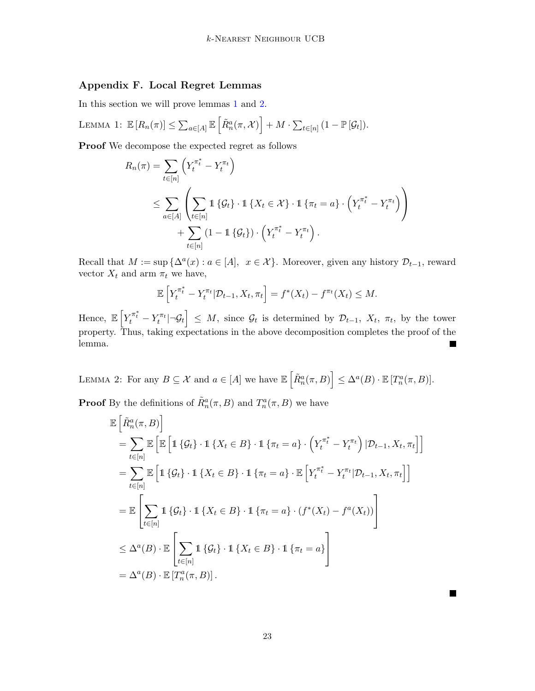# <span id="page-22-0"></span>Appendix F. Local Regret Lemmas

In this section we will prove lemmas [1](#page-7-2) and [2.](#page-7-3)

LEMMA 1: 
$$
\mathbb{E}[R_n(\pi)] \leq \sum_{a \in [A]} \mathbb{E}[\tilde{R}_n^a(\pi, \mathcal{X})] + M \cdot \sum_{t \in [n]} (1 - \mathbb{P}[\mathcal{G}_t]).
$$

Proof We decompose the expected regret as follows

$$
R_n(\pi) = \sum_{t \in [n]} \left( Y_t^{\pi_t^*} - Y_t^{\pi_t} \right)
$$
  
\$\leq \sum\_{a \in [A]} \left( \sum\_{t \in [n]} 1 \{ \mathcal{G}\_t \} \cdot 1 \{ X\_t \in \mathcal{X} \} \cdot 1 \{ \pi\_t = a \} \cdot \left( Y\_t^{\pi\_t^\*} - Y\_t^{\pi\_t} \right) \right)\$  
\$+ \sum\_{t \in [n]} (1 - 1 \{ \mathcal{G}\_t \}) \cdot \left( Y\_t^{\pi\_t^\*} - Y\_t^{\pi\_t} \right).

Recall that  $M := \sup \{ \Delta^a(x) : a \in [A], \ x \in \mathcal{X} \}.$  Moreover, given any history  $\mathcal{D}_{t-1}$ , reward vector  $X_t$  and arm  $\pi_t$  we have,

$$
\mathbb{E}\left[Y_t^{\pi_t^*} - Y_t^{\pi_t} | \mathcal{D}_{t-1}, X_t, \pi_t\right] = f^*(X_t) - f^{\pi_t}(X_t) \leq M.
$$

Hence,  $\mathbb{E}\left[Y_t^{\pi_t^*} - Y_t^{\pi_t} | \neg \mathcal{G}_t\right] \leq M$ , since  $\mathcal{G}_t$  is determined by  $\mathcal{D}_{t-1}$ ,  $X_t$ ,  $\pi_t$ , by the tower property. Thus, taking expectations in the above decomposition completes the proof of the lemma.  $\blacksquare$ 

LEMMA 2: For any  $B \subseteq \mathcal{X}$  and  $a \in [A]$  we have  $\mathbb{E} \left[ \tilde{R}_n^a(\pi, B) \right] \leq \Delta^a(B) \cdot \mathbb{E} \left[ T_n^a(\pi, B) \right]$ .

**Proof** By the definitions of  $\tilde{R}_n^a(\pi, B)$  and  $T_n^a(\pi, B)$  we have

$$
\mathbb{E}\left[\tilde{R}_{n}^{a}(\pi, B)\right]
$$
\n
$$
= \sum_{t \in [n]} \mathbb{E}\left[\mathbb{E}\left[\mathbb{1}\left\{\mathcal{G}_{t}\right\} \cdot \mathbb{1}\left\{X_{t} \in B\right\} \cdot \mathbb{1}\left\{\pi_{t} = a\right\} \cdot \left(Y_{t}^{\pi_{t}^{*}} - Y_{t}^{\pi_{t}}\right) | \mathcal{D}_{t-1}, X_{t}, \pi_{t}\right]\right]
$$
\n
$$
= \sum_{t \in [n]} \mathbb{E}\left[\mathbb{1}\left\{\mathcal{G}_{t}\right\} \cdot \mathbb{1}\left\{X_{t} \in B\right\} \cdot \mathbb{1}\left\{\pi_{t} = a\right\} \cdot \mathbb{E}\left[Y_{t}^{\pi_{t}^{*}} - Y_{t}^{\pi_{t}} | \mathcal{D}_{t-1}, X_{t}, \pi_{t}\right]\right]
$$
\n
$$
= \mathbb{E}\left[\sum_{t \in [n]} \mathbb{1}\left\{\mathcal{G}_{t}\right\} \cdot \mathbb{1}\left\{X_{t} \in B\right\} \cdot \mathbb{1}\left\{\pi_{t} = a\right\} \cdot \left(f^{*}(X_{t}) - f^{a}(X_{t})\right)\right]
$$
\n
$$
\leq \Delta^{a}(B) \cdot \mathbb{E}\left[\sum_{t \in [n]} \mathbb{1}\left\{\mathcal{G}_{t}\right\} \cdot \mathbb{1}\left\{X_{t} \in B\right\} \cdot \mathbb{1}\left\{\pi_{t} = a\right\}\right]
$$
\n
$$
= \Delta^{a}(B) \cdot \mathbb{E}\left[T_{n}^{a}(\pi, B)\right].
$$

 $\mathcal{L}$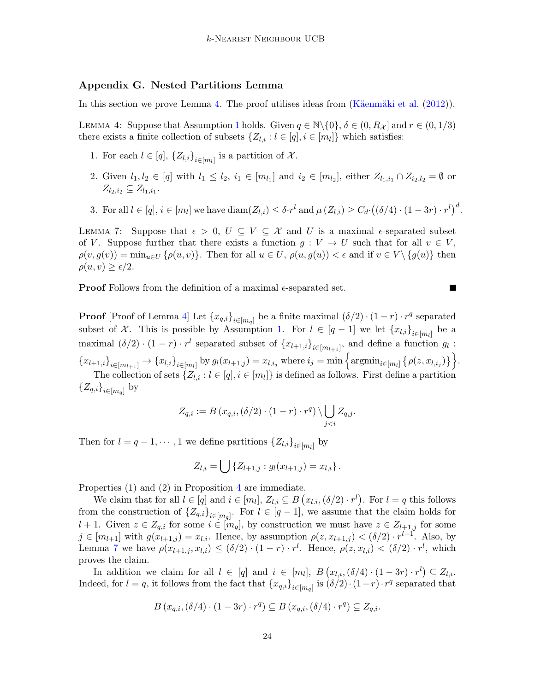### <span id="page-23-0"></span>Appendix G. Nested Partitions Lemma

In this section we prove Lemma [4.](#page-8-0) The proof utilises ideas from  $(K\ddot{a}enm\ddot{a}k$  iet al. [\(2012\)](#page-12-10)).

LEMMA 4: Suppose that Assumption [1](#page-3-0) holds. Given  $q \in \mathbb{N} \setminus \{0\}$ ,  $\delta \in (0, R_{\mathcal{X}}]$  and  $r \in (0, 1/3)$ there exists a finite collection of subsets  $\{Z_{l,i} : l \in [q], i \in [m_l]\}$  which satisfies:

- 1. For each  $l \in [q]$ ,  $\{Z_{l,i}\}_{i \in [m_l]}$  is a partition of X.
- 2. Given  $l_1, l_2 \in [q]$  with  $l_1 \leq l_2, i_1 \in [m_{l_1}]$  and  $i_2 \in [m_{l_2}]$ , either  $Z_{l_1,i_1} \cap Z_{i_2,l_2} = \emptyset$  or  $Z_{l_2,i_2} \subseteq Z_{l_1,i_1}.$
- 3. For all  $l \in [q], i \in [m_l]$  we have  $\text{diam}(Z_{l,i}) \leq \delta \cdot r^l$  and  $\mu(Z_{l,i}) \geq C_d \cdot ((\delta/4) \cdot (1-3r) \cdot r^l)^d$ .

<span id="page-23-1"></span>LEMMA 7: Suppose that  $\epsilon > 0$ ,  $U \subseteq V \subseteq \mathcal{X}$  and U is a maximal  $\epsilon$ -separated subset of V. Suppose further that there exists a function  $g: V \to U$  such that for all  $v \in V$ ,  $\rho(v, g(v)) = \min_{u \in U} {\rho(u, v)}$ . Then for all  $u \in U$ ,  $\rho(u, g(u)) < \epsilon$  and if  $v \in V \setminus {\{g(u)\}}$  then  $\rho(u, v) \geq \epsilon/2.$ 

 $\blacksquare$ 

**Proof** Follows from the definition of a maximal  $\epsilon$ -separated set.

**Proof** [Proof of Lemma [4\]](#page-8-0) Let  $\{x_{q,i}\}_{i \in [m_q]}$  be a finite maximal  $(\delta/2) \cdot (1-r) \cdot r^q$  separated subset of X. This is possible by Assumption [1.](#page-3-0) For  $l \in [q-1]$  we let  $\{x_{l,i}\}_{i \in [m_l]}$  be a maximal  $(\delta/2) \cdot (1-r) \cdot r^l$  separated subset of  $\{x_{l+1,i}\}_{i \in [m_{l+1}]},$  and define a function  $g_l$ :  ${x_{l+1,i}}_{i\in[m_{l+1}]}\rightarrow {x_{l,i}}_{i\in[m_l]}$  by  $g_l(x_{l+1,j})=x_{l,i_j}$  where  $i_j=\min\Big\{\mathrm{argmin}_{i\in[m_l]}\big\{\rho(z,x_{l,i_j})\big\}\Big\}.$ The collection of sets  $\{Z_{l,i}: l \in [q], i \in [m_l]\}$  is defined as follows. First define a partition  ${Z_{q,i}}_{i\in[m_q]}$  by

$$
Z_{q,i} := B(x_{q,i}, (\delta/2) \cdot (1-r) \cdot r^q) \setminus \bigcup_{j < i} Z_{q,j}.
$$

Then for  $l = q - 1, \dots, 1$  we define partitions  $\{Z_{l,i}\}_{i \in [m_l]}$  by

$$
Z_{l,i} = \bigcup \{ Z_{l+1,j} : g_l(x_{l+1,j}) = x_{l,i} \}.
$$

Properties (1) and (2) in Proposition [4](#page-8-0) are immediate.

We claim that for all  $l \in [q]$  and  $i \in [m_l]$ ,  $Z_{l,i} \subseteq B(x_{l,i}, (\delta/2) \cdot r^l)$ . For  $l = q$  this follows from the construction of  ${Z_{q,i}}_{i\in[m_q]}$ . For  $l \in [q-1]$ , we assume that the claim holds for l + 1. Given  $z \in Z_{q,i}$  for some  $i \in [m_q]$ , by construction we must have  $z \in Z_{l+1,j}$  for some  $j \in [m_{l+1}]$  with  $g(x_{l+1,j}) = x_{l,i}$ . Hence, by assumption  $\rho(z, x_{l+1,j}) < (\delta/2) \cdot r^{l+1}$ . Also, by Lemma [7](#page-23-1) we have  $\rho(x_{l+1,j}, x_{l,i}) \leq (\delta/2) \cdot (1-r) \cdot r^l$ . Hence,  $\rho(z, x_{l,i}) < (\delta/2) \cdot r^l$ , which proves the claim.

In addition we claim for all  $l \in [q]$  and  $i \in [m_l]$ ,  $B(x_{l,i}, (\delta/4) \cdot (1-3r) \cdot r^l) \subseteq Z_{l,i}$ . Indeed, for  $l = q$ , it follows from the fact that  ${x_{q,i}}_{i \in [m_q]}$  is  $(\delta/2) \cdot (1-r) \cdot r^q$  separated that

$$
B(x_{q,i}, (\delta/4) \cdot (1 - 3r) \cdot r^q) \subseteq B(x_{q,i}, (\delta/4) \cdot r^q) \subseteq Z_{q,i}.
$$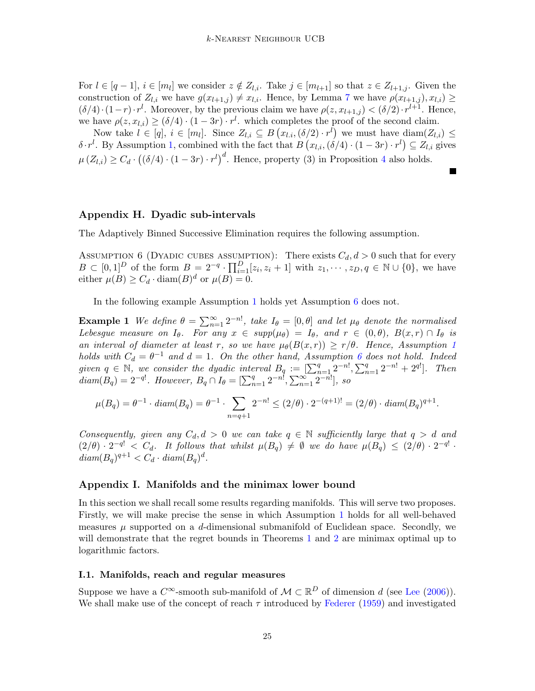For  $l \in [q-1], i \in [m_l]$  we consider  $z \notin Z_{l,i}$ . Take  $j \in [m_{l+1}]$  so that  $z \in Z_{l+1,j}$ . Given the construction of  $Z_{l,i}$  we have  $g(x_{l+1,j}) \neq x_{l,i}$ . Hence, by Lemma [7](#page-23-1) we have  $\rho(x_{l+1,j}), x_{l,i}) \geq$  $(\delta/4) \cdot (1-r) \cdot r^l$ . Moreover, by the previous claim we have  $\rho(z, x_{l+1,j}) < (\delta/2) \cdot r^{l+1}$ . Hence, we have  $\rho(z, x_{l,i}) \geq (\delta/4) \cdot (1 - 3r) \cdot r^l$ , which completes the proof of the second claim.

Now take  $l \in [q], i \in [m_l]$ . Since  $Z_{l,i} \subseteq B(x_{l,i}, (\delta/2) \cdot r^l)$  we must have  $\text{diam}(Z_{l,i}) \leq$  $\delta \cdot r^l$ . By Assumption [1,](#page-3-0) combined with the fact that  $B(x_{l,i},(\delta/4) \cdot (1-3r) \cdot r^l) \subseteq Z_{l,i}$  gives  $\mu(Z_{l,i}) \geq C_d \cdot ((\delta/4) \cdot (1-3r) \cdot r^l)^d$  $\mu(Z_{l,i}) \geq C_d \cdot ((\delta/4) \cdot (1-3r) \cdot r^l)^d$  $\mu(Z_{l,i}) \geq C_d \cdot ((\delta/4) \cdot (1-3r) \cdot r^l)^d$ . Hence, property (3) in Proposition 4 also holds.

## <span id="page-24-0"></span>Appendix H. Dyadic sub-intervals

<span id="page-24-2"></span>The Adaptively Binned Successive Elimination requires the following assumption.

ASSUMPTION 6 (DYADIC CUBES ASSUMPTION): There exists  $C_d, d > 0$  such that for every  $B \subset [0,1]^D$  of the form  $B = 2^{-q} \cdot \prod_{i=1}^D [z_i, z_i + 1]$  with  $z_1, \dots, z_D, q \in \mathbb{N} \cup \{0\}$ , we have either  $\mu(B) \geq C_d \cdot \text{diam}(B)^d$  or  $\mu(B) = 0$ .

In the following example Assumption [1](#page-3-0) holds yet Assumption [6](#page-24-2) does not.

**Example 1** We define  $\theta = \sum_{n=1}^{\infty} 2^{-n!}$ , take  $I_{\theta} = [0, \theta]$  and let  $\mu_{\theta}$  denote the normalised Lebesgue measure on  $I_{\theta}$ . For any  $x \in supp(\mu_{\theta}) = I_{\theta}$ , and  $r \in (0, \theta)$ ,  $B(x, r) \cap I_{\theta}$  is an interval of diameter at least r, so we have  $\mu_{\theta}(B(x,r)) \ge r/\theta$ . Hence, Assumption [1](#page-3-0) holds with  $C_d = \theta^{-1}$  and  $d = 1$ . On the other hand, Assumption [6](#page-24-2) does not hold. Indeed given  $q \in \mathbb{N}$ , we consider the dyadic interval  $B_q := \left[\sum_{n=1}^q 2^{-n!}, \sum_{n=1}^q 2^{-n!} + 2^{q!}\right]$ . Then  $diam(B_q) = 2^{-q!}$ . However,  $B_q \cap I_{\theta} = [\sum_{n=1}^q 2^{-n!}, \sum_{n=1}^{\infty} 2^{-n!}]$ , so

$$
\mu(B_q) = \theta^{-1} \cdot diam(B_q) = \theta^{-1} \cdot \sum_{n=q+1} 2^{-n!} \le (2/\theta) \cdot 2^{-(q+1)!} = (2/\theta) \cdot diam(B_q)^{q+1}.
$$

Consequently, given any  $C_d, d > 0$  we can take  $q \in \mathbb{N}$  sufficiently large that  $q > d$  and  $(2/\theta) \cdot 2^{-q!} < C_d$ . It follows that whilst  $\mu(B_q) \neq \emptyset$  we do have  $\mu(B_q) \leq (2/\theta) \cdot 2^{-q!}$ .  $diam(B_q)^{q+1} < C_d \cdot diam(B_q)^d$ .

### <span id="page-24-1"></span>Appendix I. Manifolds and the minimax lower bound

In this section we shall recall some results regarding manifolds. This will serve two proposes. Firstly, we will make precise the sense in which Assumption [1](#page-3-0) holds for all well-behaved measures  $\mu$  supported on a d-dimensional submanifold of Euclidean space. Secondly, we will demonstrate that the regret bounds in Theorems [1](#page-5-2) and [2](#page-6-3) are minimax optimal up to logarithmic factors.

#### I.1. Manifolds, reach and regular measures

Suppose we have a  $C^{\infty}$ -smooth sub-manifold of  $\mathcal{M} \subset \mathbb{R}^D$  of dimension d (see [Lee](#page-13-11) [\(2006\)](#page-13-11)). We shall make use of the concept of reach  $\tau$  introduced by [Federer](#page-12-11) [\(1959\)](#page-12-11) and investigated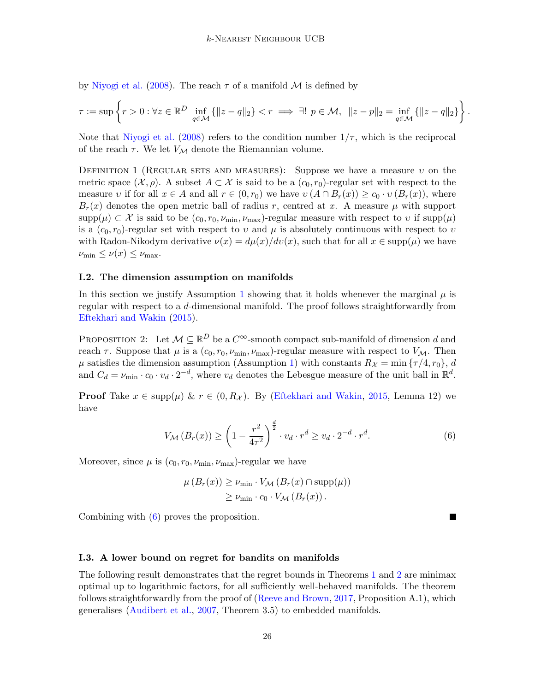by [Niyogi et al.](#page-13-12) [\(2008\)](#page-13-12). The reach  $\tau$  of a manifold M is defined by

$$
\tau := \sup \left\{ r > 0 : \forall z \in \mathbb{R}^D \inf_{q \in \mathcal{M}} \left\{ \|z - q\|_2 \right\} < r \implies \exists! \ p \in \mathcal{M}, \ \|z - p\|_2 = \inf_{q \in \mathcal{M}} \left\{ \|z - q\|_2 \right\} \right\}
$$

.

Note that [Niyogi et al.](#page-13-12) [\(2008\)](#page-13-12) refers to the condition number  $1/\tau$ , which is the reciprocal of the reach  $\tau$ . We let  $V_{\mathcal{M}}$  denote the Riemannian volume.

DEFINITION 1 (REGULAR SETS AND MEASURES): Suppose we have a measure v on the metric space  $(\mathcal{X}, \rho)$ . A subset  $A \subset \mathcal{X}$  is said to be a  $(c_0, r_0)$ -regular set with respect to the measure v if for all  $x \in A$  and all  $r \in (0, r_0)$  we have  $v(A \cap B_r(x)) \ge c_0 \cdot v(B_r(x))$ , where  $B_r(x)$  denotes the open metric ball of radius r, centred at x. A measure  $\mu$  with support  $\text{supp}(\mu) \subset \mathcal{X}$  is said to be  $(c_0, r_0, \nu_{\min}, \nu_{\max})$ -regular measure with respect to v if  $\text{supp}(\mu)$ is a  $(c_0, r_0)$ -regular set with respect to v and  $\mu$  is absolutely continuous with respect to v with Radon-Nikodym derivative  $\nu(x) = d\mu(x)/dv(x)$ , such that for all  $x \in \text{supp}(\mu)$  we have  $\nu_{\min} \leq \nu(x) \leq \nu_{\max}.$ 

### I.2. The dimension assumption on manifolds

In this section we justify Assumption [1](#page-3-0) showing that it holds whenever the marginal  $\mu$  is regular with respect to a d-dimensional manifold. The proof follows straightforwardly from [Eftekhari and Wakin](#page-12-12) [\(2015\)](#page-12-12).

<span id="page-25-0"></span>PROPOSITION 2: Let  $M \subseteq \mathbb{R}^D$  be a  $C^{\infty}$ -smooth compact sub-manifold of dimension d and reach  $\tau$ . Suppose that  $\mu$  is a  $(c_0, r_0, \nu_{\min}, \nu_{\max})$ -regular measure with respect to  $V_{\mathcal{M}}$ . Then  $\mu$  satisfies the dimension assumption (Assumption [1\)](#page-3-0) with constants  $R_{\mathcal{X}} = \min \{\tau/4, r_0\}, d$ and  $C_d = \nu_{\min} \cdot c_0 \cdot v_d \cdot 2^{-d}$ , where  $v_d$  denotes the Lebesgue measure of the unit ball in  $\mathbb{R}^d$ .

**Proof** Take  $x \in \text{supp}(\mu) \& r \in (0, R_{\mathcal{X}})$ . By [\(Eftekhari and Wakin,](#page-12-12) [2015,](#page-12-12) Lemma 12) we have

$$
V_{\mathcal{M}}\left(B_r(x)\right) \ge \left(1 - \frac{r^2}{4\tau^2}\right)^{\frac{d}{2}} \cdot v_d \cdot r^d \ge v_d \cdot 2^{-d} \cdot r^d. \tag{6}
$$

Moreover, since  $\mu$  is  $(c_0, r_0, \nu_{\min}, \nu_{\max})$ -regular we have

<span id="page-25-2"></span>
$$
\mu(B_r(x)) \ge \nu_{\min} \cdot V_{\mathcal{M}}(B_r(x) \cap \text{supp}(\mu))
$$
  
\n
$$
\ge \nu_{\min} \cdot c_0 \cdot V_{\mathcal{M}}(B_r(x)).
$$

Combining with [\(6\)](#page-25-2) proves the proposition.

#### I.3. A lower bound on regret for bandits on manifolds

<span id="page-25-1"></span>The following result demonstrates that the regret bounds in Theorems [1](#page-5-2) and [2](#page-6-3) are minimax optimal up to logarithmic factors, for all sufficiently well-behaved manifolds. The theorem follows straightforwardly from the proof of [\(Reeve and Brown,](#page-13-13) [2017,](#page-13-13) Proposition A.1), which generalises [\(Audibert et al.,](#page-12-13) [2007,](#page-12-13) Theorem 3.5) to embedded manifolds.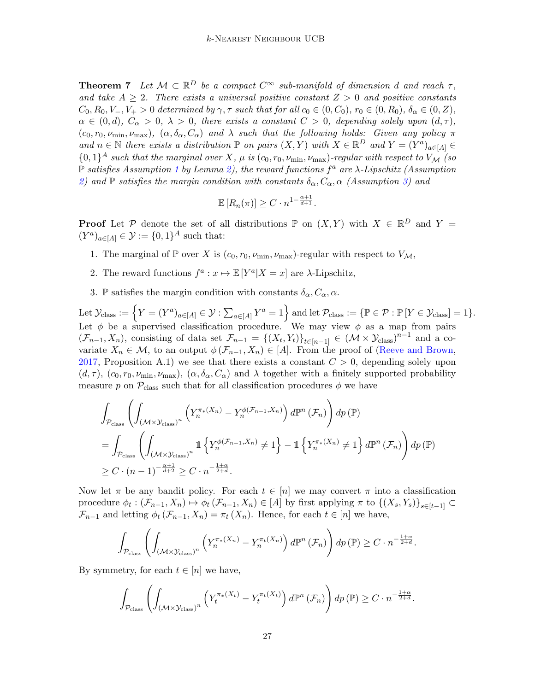**Theorem 7** Let  $M \subset \mathbb{R}^D$  be a compact  $C^{\infty}$  sub-manifold of dimension d and reach  $\tau$ , and take  $A \geq 2$ . There exists a universal positive constant  $Z > 0$  and positive constants  $C_0, R_0, V_-, V_+ > 0$  determined by  $\gamma$ ,  $\tau$  such that for all  $c_0 \in (0, C_0)$ ,  $r_0 \in (0, R_0)$ ,  $\delta_\alpha \in (0, Z)$ ,  $\alpha \in (0, d), C_{\alpha} > 0, \lambda > 0$ , there exists a constant  $C > 0$ , depending solely upon  $(d, \tau)$ ,  $(c_0, r_0, \nu_{\min}, \nu_{\max}),$   $(\alpha, \delta_{\alpha}, C_{\alpha})$  and  $\lambda$  such that the following holds: Given any policy  $\pi$ and  $n \in \mathbb{N}$  there exists a distribution  $\mathbb{P}$  on pairs  $(X, Y)$  with  $X \in \mathbb{R}^D$  and  $Y = (Y^a)_{a \in [A]} \in$  $\{0,1\}^A$  such that the marginal over X,  $\mu$  is  $(c_0, r_0, \nu_{\min}, \nu_{\max})$ -regular with respect to  $V_{\mathcal{M}}$  (so  $\mathbb P$  satisfies Assumption [1](#page-3-0) by Lemma [2\)](#page-25-0), the reward functions  $f^a$  are  $\lambda$ -Lipschitz (Assumption [2\)](#page-3-1) and  $\mathbb P$  satisfies the margin condition with constants  $\delta_{\alpha}, C_{\alpha}, \alpha$  (Assumption [3\)](#page-3-2) and

$$
\mathbb{E}\left[R_n(\pi)\right] \geq C \cdot n^{1 - \frac{\alpha + 1}{d+1}}.
$$

**Proof** Let P denote the set of all distributions  $\mathbb{P}$  on  $(X, Y)$  with  $X \in \mathbb{R}^D$  and  $Y =$  $(Y^a)_{a \in [A]} \in \mathcal{Y} := \{0,1\}^A$  such that:

- 1. The marginal of P over X is  $(c_0, r_0, \nu_{\min}, \nu_{\max})$ -regular with respect to  $V_{\mathcal{M}}$ ,
- 2. The reward functions  $f^a: x \mapsto \mathbb{E}[Y^a | X = x]$  are  $\lambda$ -Lipschitz,
- 3. P satisfies the margin condition with constants  $\delta_{\alpha}, C_{\alpha}, \alpha$ .

Let  $\mathcal{Y}_{\text{class}} := \Big\{ Y = (Y^a)_{a \in [A]} \in \mathcal{Y} : \sum_{a \in [A]} Y^a = 1 \Big\}$  and let  $\mathcal{P}_{\text{class}} := \{ \mathbb{P} \in \mathcal{P} : \mathbb{P} [Y \in \mathcal{Y}_{\text{class}}] = 1 \}.$ Let  $\phi$  be a supervised classification procedure. We may view  $\phi$  as a map from pairs  $(\mathcal{F}_{n-1}, X_n)$ , consisting of data set  $\mathcal{F}_{n-1} = \{(X_t, Y_t)\}_{t \in [n-1]} \in (\mathcal{M} \times \mathcal{Y}_{\text{class}})^{n-1}$  and a covariate  $X_n \in \mathcal{M}$ , to an output  $\phi(\mathcal{F}_{n-1}, X_n) \in [A]$ . From the proof of [\(Reeve and Brown,](#page-13-13) [2017,](#page-13-13) Proposition A.1) we see that there exists a constant  $C > 0$ , depending solely upon  $(d, \tau)$ ,  $(c_0, r_0, \nu_{\min}, \nu_{\max})$ ,  $(\alpha, \delta_{\alpha}, C_{\alpha})$  and  $\lambda$  together with a finitely supported probability measure p on  $P_{\text{class}}$  such that for all classification procedures  $\phi$  we have

$$
\int_{\mathcal{P}_{\text{class}}} \left( \int_{(\mathcal{M} \times \mathcal{Y}_{\text{class}})^n} \left( Y_n^{\pi_*(X_n)} - Y_n^{\phi(\mathcal{F}_{n-1}, X_n)} \right) d\mathbb{P}^n (\mathcal{F}_n) \right) dp (\mathbb{P})
$$
\n
$$
= \int_{\mathcal{P}_{\text{class}}} \left( \int_{(\mathcal{M} \times \mathcal{Y}_{\text{class}})^n} \mathbb{1} \left\{ Y_n^{\phi(\mathcal{F}_{n-1}, X_n)} \neq 1 \right\} - \mathbb{1} \left\{ Y_n^{\pi_*(X_n)} \neq 1 \right\} d\mathbb{P}^n (\mathcal{F}_n) \right) dp (\mathbb{P})
$$
\n
$$
\geq C \cdot (n-1)^{-\frac{\alpha+1}{d+2}} \geq C \cdot n^{-\frac{1+\alpha}{2+d}}.
$$

Now let  $\pi$  be any bandit policy. For each  $t \in [n]$  we may convert  $\pi$  into a classification procedure  $\phi_t: (\mathcal{F}_{n-1}, X_n) \mapsto \phi_t(\mathcal{F}_{n-1}, X_n) \in [A]$  by first applying  $\pi$  to  $\{(X_s, Y_s)\}_{s \in [t-1]} \subset$  $\mathcal{F}_{n-1}$  and letting  $\phi_t(\mathcal{F}_{n-1}, X_n) = \pi_t(X_n)$ . Hence, for each  $t \in [n]$  we have,

$$
\int_{\mathcal{P}_{\text{class}}} \left( \int_{\left(\mathcal{M}\times\mathcal{Y}_{\text{class}}\right)^n} \left( Y_n^{\pi_*(X_n)} - Y_n^{\pi_t(X_n)} \right) d\mathbb{P}^n \left( \mathcal{F}_n \right) \right) dp \left( \mathbb{P} \right) \geq C \cdot n^{-\frac{1+\alpha}{2+d}}.
$$

By symmetry, for each  $t \in [n]$  we have,

$$
\int_{\mathcal{P}_{\text{class}}}\left(\int_{\left(\mathcal{M}\times\mathcal{Y}_{\text{class}}\right)^n}\left(Y_t^{\pi_*(X_t)}-Y_t^{\pi_t(X_t)}\right)d\mathbb{P}^n\left(\mathcal{F}_n\right)\right)dp\left(\mathbb{P}\right)\geq C\cdot n^{-\frac{1+\alpha}{2+d}}.
$$